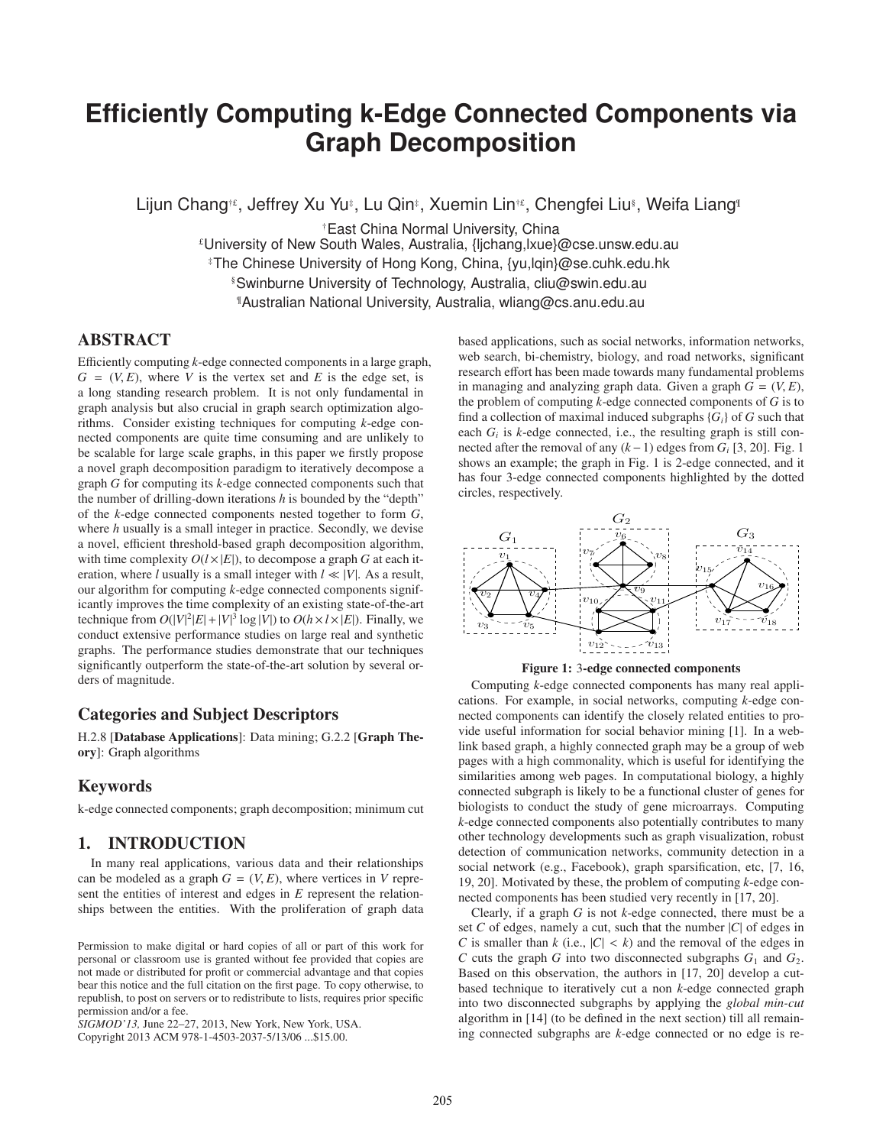# **Efficiently Computing k-Edge Connected Components via Graph Decomposition**

Lijun Chang†£, Jeffrey Xu Yu‡, Lu Qin‡, Xuemin Lin†£, Chengfei Liu®, Weifa Liang¶

†East China Normal University, China £University of New South Wales, Australia, {ljchang,lxue}@cse.unsw.edu.au ‡The Chinese University of Hong Kong, China, {yu,lqin}@se.cuhk.edu.hk §Swinburne University of Technology, Australia, cliu@swin.edu.au ¶Australian National University, Australia, wliang@cs.anu.edu.au

# ABSTRACT

Efficiently computing *k*-edge connected components in a large graph,  $G = (V, E)$ , where *V* is the vertex set and *E* is the edge set, is a long standing research problem. It is not only fundamental in graph analysis but also crucial in graph search optimization algorithms. Consider existing techniques for computing *k*-edge connected components are quite time consuming and are unlikely to be scalable for large scale graphs, in this paper we firstly propose a novel graph decomposition paradigm to iteratively decompose a graph *G* for computing its *k*-edge connected components such that the number of drilling-down iterations *h* is bounded by the "depth" of the *k*-edge connected components nested together to form *G*, where *h* usually is a small integer in practice. Secondly, we devise a novel, efficient threshold-based graph decomposition algorithm, with time complexity  $O(l \times |E|)$ , to decompose a graph *G* at each iteration, where *l* usually is a small integer with  $l \ll |V|$ . As a result, our algorithm for computing *k*-edge connected components significantly improves the time complexity of an existing state-of-the-art technique from  $O(|V|^2|E|+|V|^3 \log |V|)$  to  $O(h \times l \times |E|)$ . Finally, we conduct extensive performance studies on large real and synthetic graphs. The performance studies demonstrate that our techniques significantly outperform the state-of-the-art solution by several orders of magnitude.

# Categories and Subject Descriptors

H.2.8 [Database Applications]: Data mining; G.2.2 [Graph Theory]: Graph algorithms

# Keywords

k-edge connected components; graph decomposition; minimum cut

# 1. INTRODUCTION

In many real applications, various data and their relationships can be modeled as a graph  $G = (V, E)$ , where vertices in V represent the entities of interest and edges in *E* represent the relationships between the entities. With the proliferation of graph data

*SIGMOD'13,* June 22–27, 2013, New York, New York, USA.

Copyright 2013 ACM 978-1-4503-2037-5/13/06 ...\$15.00.

based applications, such as social networks, information networks, web search, bi-chemistry, biology, and road networks, significant research effort has been made towards many fundamental problems in managing and analyzing graph data. Given a graph  $G = (V, E)$ , the problem of computing *k*-edge connected components of *G* is to find a collection of maximal induced subgraphs  ${G_i}$  of *G* such that each  $G_i$  is  $k$ -edge connected, i.e., the resulting graph is still connected after the removal of any  $(k-1)$  edges from  $G_i$  [3, 20]. Fig. 1 shows an example; the graph in Fig. 1 is 2-edge connected, and it has four 3-edge connected components highlighted by the dotted circles, respectively.



Figure 1: 3-edge connected components

Computing *k*-edge connected components has many real applications. For example, in social networks, computing *k*-edge connected components can identify the closely related entities to provide useful information for social behavior mining [1]. In a weblink based graph, a highly connected graph may be a group of web pages with a high commonality, which is useful for identifying the similarities among web pages. In computational biology, a highly connected subgraph is likely to be a functional cluster of genes for biologists to conduct the study of gene microarrays. Computing *k*-edge connected components also potentially contributes to many other technology developments such as graph visualization, robust detection of communication networks, community detection in a social network (e.g., Facebook), graph sparsification, etc, [7, 16, 19, 20]. Motivated by these, the problem of computing *k*-edge connected components has been studied very recently in [17, 20].

Clearly, if a graph *G* is not *k*-edge connected, there must be a set *C* of edges, namely a cut, such that the number |*C*| of edges in *C* is smaller than *k* (i.e.,  $|C| < k$ ) and the removal of the edges in *C* cuts the graph *G* into two disconnected subgraphs  $G_1$  and  $G_2$ . Based on this observation, the authors in [17, 20] develop a cutbased technique to iteratively cut a non *k*-edge connected graph into two disconnected subgraphs by applying the *global min-cut* algorithm in [14] (to be defined in the next section) till all remaining connected subgraphs are *k*-edge connected or no edge is re-

Permission to make digital or hard copies of all or part of this work for personal or classroom use is granted without fee provided that copies are not made or distributed for profit or commercial advantage and that copies bear this notice and the full citation on the first page. To copy otherwise, to republish, to post on servers or to redistribute to lists, requires prior specific permission and/or a fee.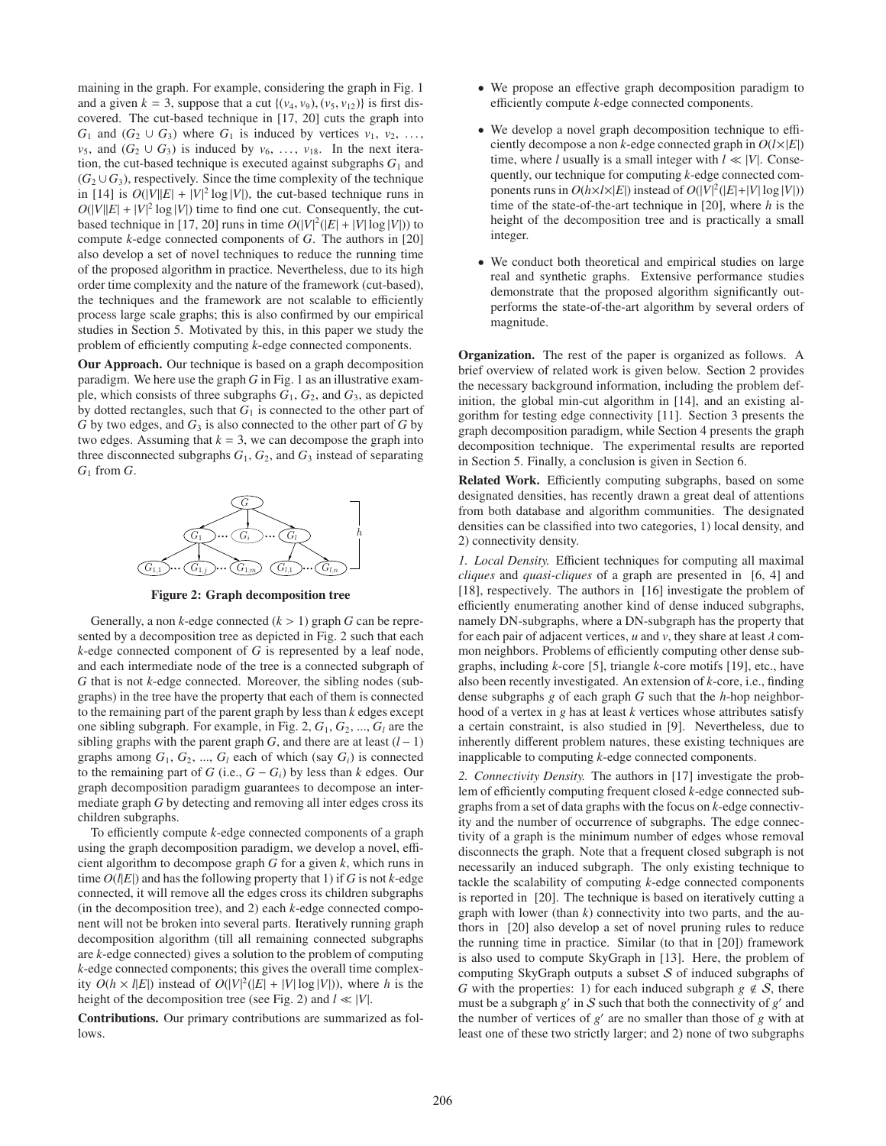maining in the graph. For example, considering the graph in Fig. 1 and a given  $k = 3$ , suppose that a cut  $\{(v_4, v_9), (v_5, v_{12})\}$  is first discovered. The cut-based technique in [17, 20] cuts the graph into  $G_1$  and  $(G_2 \cup G_3)$  where  $G_1$  is induced by vertices  $v_1, v_2, \ldots$ *v*<sub>5</sub>, and  $(G_2 \cup G_3)$  is induced by  $v_6$ , ...,  $v_{18}$ . In the next iteration, the cut-based technique is executed against subgraphs  $G_1$  and  $(G_2 \cup G_3)$ , respectively. Since the time complexity of the technique in [14] is  $O(|V||E| + |V|^2 \log |V|)$ , the cut-based technique runs in  $O(|V||E| + |V|^2 \log |V|)$  time to find one cut. Consequently, the cutbased technique in [17, 20] runs in time  $O(|V|^2(|E|+|V|\log|V|))$  to compute *k*-edge connected components of *G*. The authors in [20] also develop a set of novel techniques to reduce the running time of the proposed algorithm in practice. Nevertheless, due to its high order time complexity and the nature of the framework (cut-based), the techniques and the framework are not scalable to efficiently process large scale graphs; this is also confirmed by our empirical studies in Section 5. Motivated by this, in this paper we study the problem of efficiently computing *k*-edge connected components.

Our Approach. Our technique is based on a graph decomposition paradigm. We here use the graph *G* in Fig. 1 as an illustrative example, which consists of three subgraphs *G*1, *G*2, and *G*3, as depicted by dotted rectangles, such that  $G_1$  is connected to the other part of  $G$  by two edges, and  $G_3$  is also connected to the other part of  $G$  by two edges. Assuming that  $k = 3$ , we can decompose the graph into three disconnected subgraphs  $G_1$ ,  $G_2$ , and  $G_3$  instead of separating *G*<sup>1</sup> from *G*.



Figure 2: Graph decomposition tree

Generally, a non  $k$ -edge connected  $(k > 1)$  graph  $G$  can be represented by a decomposition tree as depicted in Fig. 2 such that each *k*-edge connected component of *G* is represented by a leaf node, and each intermediate node of the tree is a connected subgraph of *G* that is not *k*-edge connected. Moreover, the sibling nodes (subgraphs) in the tree have the property that each of them is connected to the remaining part of the parent graph by less than *k* edges except one sibling subgraph. For example, in Fig. 2,  $G_1$ ,  $G_2$ , ...,  $G_l$  are the sibling graphs with the parent graph *G*, and there are at least  $(l - 1)$ graphs among  $G_1$ ,  $G_2$ , ...,  $G_l$  each of which (say  $G_l$ ) is connected to the remaining part of *G* (i.e.,  $G - G_i$ ) by less than *k* edges. Our graph decomposition paradigm guarantees to decompose an intermediate graph *G* by detecting and removing all inter edges cross its children subgraphs.

To efficiently compute *k*-edge connected components of a graph using the graph decomposition paradigm, we develop a novel, efficient algorithm to decompose graph *G* for a given *k*, which runs in time  $O(l|E|)$  and has the following property that 1) if *G* is not *k*-edge connected, it will remove all the edges cross its children subgraphs (in the decomposition tree), and 2) each *k*-edge connected component will not be broken into several parts. Iteratively running graph decomposition algorithm (till all remaining connected subgraphs are *k*-edge connected) gives a solution to the problem of computing *k*-edge connected components; this gives the overall time complexity  $O(h \times l |E|)$  instead of  $O(|V|^2(|E| + |V| \log |V|))$ , where *h* is the height of the decomposition tree (see Fig. 2) and *l* ≪ |*V*|.

Contributions. Our primary contributions are summarized as follows.

- We propose an effective graph decomposition paradigm to efficiently compute *k*-edge connected components.
- We develop a novel graph decomposition technique to efficiently decompose a non *k*-edge connected graph in  $O(l \times |E|)$ time, where *l* usually is a small integer with  $l \ll |V|$ . Consequently, our technique for computing *k*-edge connected components runs in  $O(h \times l \times |E|)$  instead of  $O(|V|^2(|E|+|V|\log|V|))$ time of the state-of-the-art technique in [20], where *h* is the height of the decomposition tree and is practically a small integer.
- We conduct both theoretical and empirical studies on large real and synthetic graphs. Extensive performance studies demonstrate that the proposed algorithm significantly outperforms the state-of-the-art algorithm by several orders of magnitude.

Organization. The rest of the paper is organized as follows. A brief overview of related work is given below. Section 2 provides the necessary background information, including the problem definition, the global min-cut algorithm in [14], and an existing algorithm for testing edge connectivity [11]. Section 3 presents the graph decomposition paradigm, while Section 4 presents the graph decomposition technique. The experimental results are reported in Section 5. Finally, a conclusion is given in Section 6.

Related Work. Efficiently computing subgraphs, based on some designated densities, has recently drawn a great deal of attentions from both database and algorithm communities. The designated densities can be classified into two categories, 1) local density, and 2) connectivity density.

*1. Local Density.* Efficient techniques for computing all maximal *cliques* and *quasi-cliques* of a graph are presented in [6, 4] and [18], respectively. The authors in [16] investigate the problem of efficiently enumerating another kind of dense induced subgraphs, namely DN-subgraphs, where a DN-subgraph has the property that for each pair of adjacent vertices,  $u$  and  $v$ , they share at least  $\lambda$  common neighbors. Problems of efficiently computing other dense subgraphs, including *k*-core [5], triangle *k*-core motifs [19], etc., have also been recently investigated. An extension of *k*-core, i.e., finding dense subgraphs *g* of each graph *G* such that the *h*-hop neighborhood of a vertex in *g* has at least *k* vertices whose attributes satisfy a certain constraint, is also studied in [9]. Nevertheless, due to inherently different problem natures, these existing techniques are inapplicable to computing *k*-edge connected components.

*2. Connectivity Density.* The authors in [17] investigate the problem of efficiently computing frequent closed *k*-edge connected subgraphs from a set of data graphs with the focus on *k*-edge connectivity and the number of occurrence of subgraphs. The edge connectivity of a graph is the minimum number of edges whose removal disconnects the graph. Note that a frequent closed subgraph is not necessarily an induced subgraph. The only existing technique to tackle the scalability of computing *k*-edge connected components is reported in [20]. The technique is based on iteratively cutting a graph with lower (than *k*) connectivity into two parts, and the authors in [20] also develop a set of novel pruning rules to reduce the running time in practice. Similar (to that in [20]) framework is also used to compute SkyGraph in [13]. Here, the problem of computing SkyGraph outputs a subset  $S$  of induced subgraphs of *G* with the properties: 1) for each induced subgraph  $g \notin S$ , there must be a subgraph  $g'$  in  $S$  such that both the connectivity of  $g'$  and the number of vertices of  $g'$  are no smaller than those of  $g$  with at least one of these two strictly larger; and 2) none of two subgraphs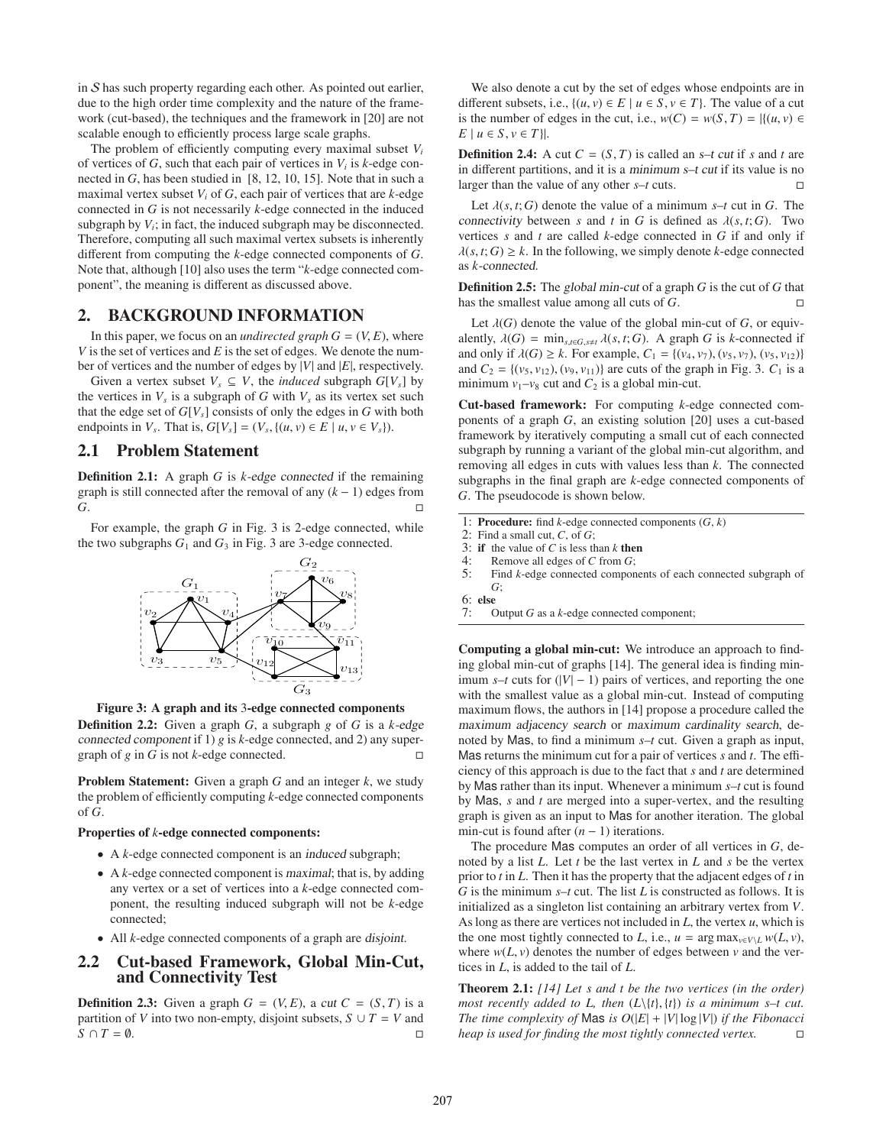in  $S$  has such property regarding each other. As pointed out earlier, due to the high order time complexity and the nature of the framework (cut-based), the techniques and the framework in [20] are not scalable enough to efficiently process large scale graphs.

The problem of efficiently computing every maximal subset  $V_i$ of vertices of  $G$ , such that each pair of vertices in  $V_i$  is  $k$ -edge connected in *G*, has been studied in [8, 12, 10, 15]. Note that in such a maximal vertex subset  $V_i$  of  $G$ , each pair of vertices that are  $k$ -edge connected in *G* is not necessarily *k*-edge connected in the induced subgraph by  $V_i$ ; in fact, the induced subgraph may be disconnected. Therefore, computing all such maximal vertex subsets is inherently different from computing the *k*-edge connected components of *G*. Note that, although [10] also uses the term "*k*-edge connected component", the meaning is different as discussed above.

#### 2. BACKGROUND INFORMATION

In this paper, we focus on an *undirected graph*  $G = (V, E)$ , where *V* is the set of vertices and *E* is the set of edges. We denote the number of vertices and the number of edges by |*V*| and |*E*|, respectively.

Given a vertex subset  $V_s \subseteq V$ , the *induced* subgraph  $G[V_s]$  by the vertices in  $V_s$  is a subgraph of  $G$  with  $V_s$  as its vertex set such that the edge set of  $G[V_s]$  consists of only the edges in  $G$  with both endpoints in *V<sub>s</sub>*. That is,  $G[V_s] = (V_s, \{(u, v) \in E \mid u, v \in V_s\}).$ 

## 2.1 Problem Statement

Definition 2.1: A graph *G* is *k*-edge connected if the remaining graph is still connected after the removal of any  $(k - 1)$  edges from *G***.** <del>□</del>

For example, the graph *G* in Fig. 3 is 2-edge connected, while the two subgraphs  $G_1$  and  $G_3$  in Fig. 3 are 3-edge connected.



Figure 3: A graph and its 3-edge connected components

Definition 2.2: Given a graph *G*, a subgraph *g* of *G* is a *k*-edge connected component if 1) *g* is *k*-edge connected, and 2) any supergraph of *g* in *G* is not *k*-edge connected.

Problem Statement: Given a graph *G* and an integer *k*, we study the problem of efficiently computing *k*-edge connected components of *G*.

#### Properties of *k*-edge connected components:

- A *k*-edge connected component is an induced subgraph;
- A *k*-edge connected component is maximal; that is, by adding any vertex or a set of vertices into a *k*-edge connected component, the resulting induced subgraph will not be *k*-edge connected;
- All *k*-edge connected components of a graph are disjoint.

#### 2.2 Cut-based Framework, Global Min-Cut, and Connectivity Test

**Definition 2.3:** Given a graph  $G = (V, E)$ , a cut  $C = (S, T)$  is a partition of *V* into two non-empty, disjoint subsets,  $S \cup T = V$  and  $S \cap T = \emptyset$ .

We also denote a cut by the set of edges whose endpoints are in different subsets, i.e.,  $\{(u, v) \in E \mid u \in S, v \in T\}$ . The value of a cut is the number of edges in the cut, i.e.,  $w(C) = w(S, T) = |\{(u, v) \in$  $E \mid u \in S, v \in T$ .

**Definition 2.4:** A cut  $C = (S, T)$  is called an  $s$ –t cut if s and t are in different partitions, and it is a minimum s–t cut if its value is no larger than the value of any other *s*–*t* cuts.

Let  $\lambda(s, t; G)$  denote the value of a minimum  $s$ –*t* cut in *G*. The connectivity between *s* and *t* in *G* is defined as  $\lambda(s, t; G)$ . Two vertices *s* and *t* are called *k*-edge connected in *G* if and only if  $\lambda(s, t; G) \geq k$ . In the following, we simply denote *k*-edge connected as *k*-connected.

Definition 2.5: The global min-cut of a graph *G* is the cut of *G* that has the smallest value among all cuts of *G*.

Let  $\lambda(G)$  denote the value of the global min-cut of *G*, or equivalently,  $\lambda(G) = \min_{s,t \in G, s \neq t} \lambda(s,t;G)$ . A graph *G* is *k*-connected if and only if  $\lambda(G) \geq k$ . For example,  $C_1 = \{(v_4, v_7), (v_5, v_7), (v_5, v_{12})\}$ and  $C_2 = \{(v_5, v_{12}), (v_9, v_{11})\}$  are cuts of the graph in Fig. 3.  $C_1$  is a minimum  $v_1 - v_8$  cut and  $C_2$  is a global min-cut.

Cut-based framework: For computing *k*-edge connected components of a graph *G*, an existing solution [20] uses a cut-based framework by iteratively computing a small cut of each connected subgraph by running a variant of the global min-cut algorithm, and removing all edges in cuts with values less than *k*. The connected subgraphs in the final graph are *k*-edge connected components of *G*. The pseudocode is shown below.

- 1: Procedure: find *k*-edge connected components (*G*, *k*)
- 2: Find a small cut, *C*, of *G*;
- 3: if the value of *C* is less than *k* then
- 4: Remove all edges of *C* from *G*;<br>5: Find *k*-edge connected compon
- 5: Find *k*-edge connected components of each connected subgraph of *G*;
- 6: else<br>7:  $\frac{6}{7}$
- Output *G* as a *k*-edge connected component;

Computing a global min-cut: We introduce an approach to finding global min-cut of graphs [14]. The general idea is finding minimum  $s$ –*t* cuts for  $(|V| - 1)$  pairs of vertices, and reporting the one with the smallest value as a global min-cut. Instead of computing maximum flows, the authors in [14] propose a procedure called the maximum adjacency search or maximum cardinality search, denoted by Mas, to find a minimum *s*–*t* cut. Given a graph as input, Mas returns the minimum cut for a pair of vertices *s* and *t*. The efficiency of this approach is due to the fact that *s* and *t* are determined by Mas rather than its input. Whenever a minimum *s*–*t* cut is found by Mas, *s* and *t* are merged into a super-vertex, and the resulting graph is given as an input to Mas for another iteration. The global min-cut is found after  $(n - 1)$  iterations.

The procedure Mas computes an order of all vertices in *G*, denoted by a list *L*. Let *t* be the last vertex in *L* and *s* be the vertex prior to *t* in *L*. Then it has the property that the adjacent edges of *t* in *G* is the minimum *s*–*t* cut. The list *L* is constructed as follows. It is initialized as a singleton list containing an arbitrary vertex from *V*. As long as there are vertices not included in *L*, the vertex *u*, which is the one most tightly connected to *L*, i.e.,  $u = \arg \max_{v \in V \setminus L} w(L, v)$ , where  $w(L, v)$  denotes the number of edges between  $v$  and the vertices in *L*, is added to the tail of *L*.

Theorem 2.1: *[14] Let s and t be the two vertices (in the order) most recently added to L, then*  $(L\{t\}, \{t\})$  *is a minimum s–t cut. The time complexity of* Mas *is O*( $|E|$  +  $|V|$  log  $|V|$ ) *if the Fibonacci heap is used for finding the most tightly connected vertex.*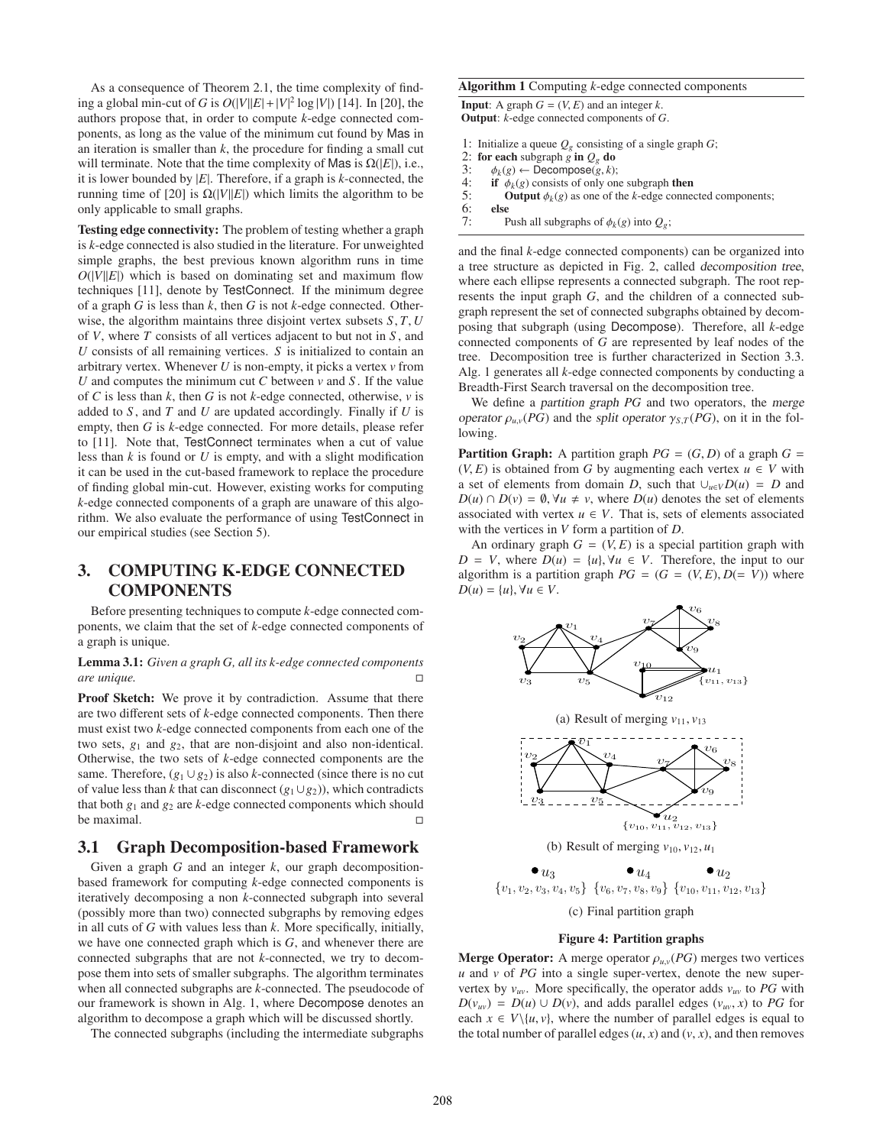As a consequence of Theorem 2.1, the time complexity of finding a global min-cut of *G* is  $O(|V||E| + |V|^2 \log |V|)$  [14]. In [20], the authors propose that, in order to compute *k*-edge connected components, as long as the value of the minimum cut found by Mas in an iteration is smaller than  $k$ , the procedure for finding a small cut will terminate. Note that the time complexity of Mas is  $Ω(|E|)$ , i.e., it is lower bounded by |*E*|. Therefore, if a graph is *k*-connected, the running time of [20] is  $Ω(|V||E|)$  which limits the algorithm to be only applicable to small graphs.

Testing edge connectivity: The problem of testing whether a graph is *k*-edge connected is also studied in the literature. For unweighted simple graphs, the best previous known algorithm runs in time  $O(|V||E|)$  which is based on dominating set and maximum flow techniques [11], denote by TestConnect. If the minimum degree of a graph *G* is less than *k*, then *G* is not *k*-edge connected. Otherwise, the algorithm maintains three disjoint vertex subsets *S*, *T*, *U* of *V*, where *T* consists of all vertices adjacent to but not in *S* , and *U* consists of all remaining vertices. *S* is initialized to contain an arbitrary vertex. Whenever *U* is non-empty, it picks a vertex *v* from *U* and computes the minimum cut *C* between *v* and *S* . If the value of *C* is less than *k*, then *G* is not *k*-edge connected, otherwise, *v* is added to *S* , and *T* and *U* are updated accordingly. Finally if *U* is empty, then *G* is *k*-edge connected. For more details, please refer to [11]. Note that, TestConnect terminates when a cut of value less than *k* is found or *U* is empty, and with a slight modification it can be used in the cut-based framework to replace the procedure of finding global min-cut. However, existing works for computing *k*-edge connected components of a graph are unaware of this algorithm. We also evaluate the performance of using TestConnect in our empirical studies (see Section 5).

# 3. COMPUTING K-EDGE CONNECTED COMPONENTS

Before presenting techniques to compute *k*-edge connected components, we claim that the set of *k*-edge connected components of a graph is unique.

#### Lemma 3.1: *Given a graph G, all its k-edge connected components are unique.*

Proof Sketch: We prove it by contradiction. Assume that there are two different sets of *k*-edge connected components. Then there must exist two *k*-edge connected components from each one of the two sets, *g*<sup>1</sup> and *g*2, that are non-disjoint and also non-identical. Otherwise, the two sets of *k*-edge connected components are the same. Therefore,  $(g_1 \cup g_2)$  is also *k*-connected (since there is no cut of value less than *k* that can disconnect (*g*1∪*g*2)), which contradicts that both  $g_1$  and  $g_2$  are  $k$ -edge connected components which should be maximal.

#### 3.1 Graph Decomposition-based Framework

Given a graph *G* and an integer *k*, our graph decompositionbased framework for computing *k*-edge connected components is iteratively decomposing a non *k*-connected subgraph into several (possibly more than two) connected subgraphs by removing edges in all cuts of *G* with values less than *k*. More specifically, initially, we have one connected graph which is *G*, and whenever there are connected subgraphs that are not *k*-connected, we try to decompose them into sets of smaller subgraphs. The algorithm terminates when all connected subgraphs are *k*-connected. The pseudocode of our framework is shown in Alg. 1, where Decompose denotes an algorithm to decompose a graph which will be discussed shortly.

The connected subgraphs (including the intermediate subgraphs

#### Algorithm 1 Computing *k*-edge connected components

**Input:** A graph  $G = (V, E)$  and an integer  $k$ . Output: *k*-edge connected components of *G*.

- 1: Initialize a queue  $Q_g$  consisting of a single graph  $G$ ;
- 2: for each subgraph *g* in  $Q_g$  do<br>3:  $\phi_k(g) \leftarrow$  Decompose(*g* k)
- 3:  $\phi_k(g) \leftarrow \text{Decompose}(g, k);$ <br>4: **if**  $\phi_k(g)$  consists of only on
- 4: **if**  $\phi_k(g)$  consists of only one subgraph **then**<br>5: **Output**  $\phi_k(e)$  as one of the *k*-edge connect
- 5: **Output**  $\phi_k(g)$  as one of the *k*-edge connected components;<br>6: **else**
- 6: else<br>7:  $\frac{1}{5}$ Push all subgraphs of  $\phi_k(g)$  into  $Q_g$ ;

and the final *k*-edge connected components) can be organized into a tree structure as depicted in Fig. 2, called decomposition tree, where each ellipse represents a connected subgraph. The root represents the input graph *G*, and the children of a connected subgraph represent the set of connected subgraphs obtained by decomposing that subgraph (using Decompose). Therefore, all *k*-edge connected components of *G* are represented by leaf nodes of the tree. Decomposition tree is further characterized in Section 3.3. Alg. 1 generates all *k*-edge connected components by conducting a Breadth-First Search traversal on the decomposition tree.

We define a partition graph *PG* and two operators, the merge operator  $\rho_{u,v}(PG)$  and the split operator  $\gamma_{S,T}(PG)$ , on it in the following.

**Partition Graph:** A partition graph  $PG = (G, D)$  of a graph  $G =$  $(V, E)$  is obtained from *G* by augmenting each vertex  $u \in V$  with a set of elements from domain *D*, such that  $\bigcup_{u \in V} D(u) = D$  and  $D(u) \cap D(v) = \emptyset$ ,  $\forall u \neq v$ , where  $D(u)$  denotes the set of elements associated with vertex  $u \in V$ . That is, sets of elements associated with the vertices in *V* form a partition of *D*.

An ordinary graph  $G = (V, E)$  is a special partition graph with *D* = *V*, where  $D(u) = \{u\}, \forall u \in V$ . Therefore, the input to our algorithm is a partition graph  $PG = (G = (V, E), D(= V))$  where  $D(u) = \{u\}, \forall u \in V.$ 



#### Figure 4: Partition graphs

**Merge Operator:** A merge operator  $\rho_{uv}(PG)$  merges two vertices *u* and *v* of *PG* into a single super-vertex, denote the new supervertex by  $v_{uv}$ . More specifically, the operator adds  $v_{uv}$  to PG with  $D(v_{uv}) = D(u) \cup D(v)$ , and adds parallel edges  $(v_{uv}, x)$  to *PG* for each  $x \in V\setminus\{u, v\}$ , where the number of parallel edges is equal to the total number of parallel edges  $(u, x)$  and  $(v, x)$ , and then removes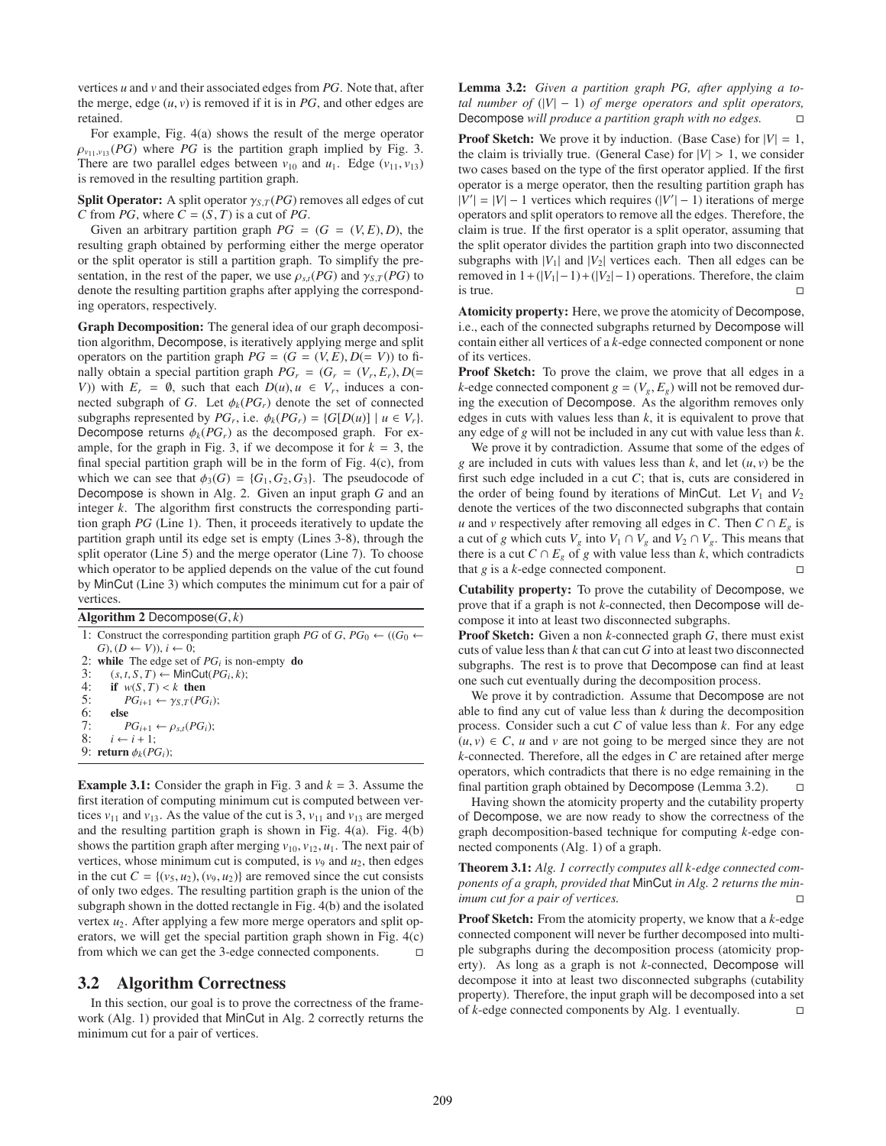vertices *u* and *v* and their associated edges from *PG*. Note that, after the merge, edge  $(u, v)$  is removed if it is in  $PG$ , and other edges are retained.

For example, Fig. 4(a) shows the result of the merge operator  $\rho_{\nu_{11},\nu_{13}}(PG)$  where PG is the partition graph implied by Fig. 3. There are two parallel edges between  $v_{10}$  and  $u_1$ . Edge ( $v_{11}, v_{13}$ ) is removed in the resulting partition graph.

**Split Operator:** A split operator  $\gamma_{S,T}(PG)$  removes all edges of cut *C* from *PG*, where  $C = (S, T)$  is a cut of *PG*.

Given an arbitrary partition graph  $PG = (G = (V, E), D)$ , the resulting graph obtained by performing either the merge operator or the split operator is still a partition graph. To simplify the presentation, in the rest of the paper, we use  $\rho_{s,t}(PG)$  and  $\gamma_{s,T}(PG)$  to denote the resulting partition graphs after applying the corresponding operators, respectively.

Graph Decomposition: The general idea of our graph decomposition algorithm, Decompose, is iteratively applying merge and split operators on the partition graph  $PG = (G = (V, E), D(= V))$  to finally obtain a special partition graph  $PG_r = (G_r = (V_r, E_r), D(=$ *V*)) with  $E_r = \emptyset$ , such that each  $D(u)$ ,  $u \in V_r$ , induces a connected subgraph of *G*. Let  $\phi_k(PG_r)$  denote the set of connected subgraphs represented by  $PG_r$ , i.e.  $\phi_k(PG_r) = \{G[D(u)] \mid u \in V_r\}$ . Decompose returns  $\phi_k(PG_r)$  as the decomposed graph. For example, for the graph in Fig. 3, if we decompose it for  $k = 3$ , the final special partition graph will be in the form of Fig. 4(c), from which we can see that  $\phi_3(G) = \{G_1, G_2, G_3\}$ . The pseudocode of Decompose is shown in Alg. 2. Given an input graph *G* and an integer *k*. The algorithm first constructs the corresponding partition graph *PG* (Line 1). Then, it proceeds iteratively to update the partition graph until its edge set is empty (Lines 3-8), through the split operator (Line 5) and the merge operator (Line 7). To choose which operator to be applied depends on the value of the cut found by MinCut (Line 3) which computes the minimum cut for a pair of vertices.

Algorithm 2 Decompose $(G, k)$ 1: Construct the corresponding partition graph *PG* of *G*, *PG*<sup>0</sup>  $\leftarrow$  ((*G*<sup>0</sup>  $\leftarrow$  $G$ ,  $(D \leftarrow V)$ ,  $i \leftarrow 0$ ; 2: while The edge set of  $PG_i$  is non-empty do 3:  $(s, t, S, T) \leftarrow \text{MinCut}(PG_i, k);$ 4: if  $w(S,T) < k$  then<br>5:  $PG_{i+1} \leftarrow \gamma_S T(PG)$ 5:  $PG_{i+1} \leftarrow \gamma_{S,T}(PG_i);$ <br>6: **else** 6: else<br>7:  $\frac{f}{f}$ 7:  $PG_{i+1} \leftarrow \rho_{s,t}(PG_i);$ <br>8:  $i \leftarrow i+1$  $i \leftarrow i + 1$ ; 9: return  $\phi_k(PG_i)$ ;

**Example 3.1:** Consider the graph in Fig. 3 and  $k = 3$ . Assume the first iteration of computing minimum cut is computed between vertices  $v_{11}$  and  $v_{13}$ . As the value of the cut is 3,  $v_{11}$  and  $v_{13}$  are merged and the resulting partition graph is shown in Fig. 4(a). Fig. 4(b) shows the partition graph after merging  $v_{10}$ ,  $v_{12}$ ,  $u_1$ . The next pair of vertices, whose minimum cut is computed, is  $v_9$  and  $u_2$ , then edges in the cut  $C = \{(v_5, u_2), (v_9, u_2)\}\$  are removed since the cut consists of only two edges. The resulting partition graph is the union of the subgraph shown in the dotted rectangle in Fig. 4(b) and the isolated vertex  $u_2$ . After applying a few more merge operators and split operators, we will get the special partition graph shown in Fig. 4(c) from which we can get the 3-edge connected components.  $\Box$ 

## 3.2 Algorithm Correctness

In this section, our goal is to prove the correctness of the framework (Alg. 1) provided that MinCut in Alg. 2 correctly returns the minimum cut for a pair of vertices.

Lemma 3.2: *Given a partition graph PG, after applying a total number of*  $(|V| - 1)$  *of merge operators and split operators,* Decompose *will produce a partition graph with no edges.*

**Proof Sketch:** We prove it by induction. (Base Case) for  $|V| = 1$ , the claim is trivially true. (General Case) for  $|V| > 1$ , we consider two cases based on the type of the first operator applied. If the first operator is a merge operator, then the resulting partition graph has  $|V'| = |V| - 1$  vertices which requires  $(|V'| - 1)$  iterations of merge operators and split operators to remove all the edges. Therefore, the claim is true. If the first operator is a split operator, assuming that the split operator divides the partition graph into two disconnected subgraphs with  $|V_1|$  and  $|V_2|$  vertices each. Then all edges can be removed in  $1+(|V_1|-1)+(|V_2|-1)$  operations. Therefore, the claim is true.  $\Box$ 

Atomicity property: Here, we prove the atomicity of Decompose, i.e., each of the connected subgraphs returned by Decompose will contain either all vertices of a *k*-edge connected component or none of its vertices.

Proof Sketch: To prove the claim, we prove that all edges in a *k*-edge connected component  $g = (V_g, E_g)$  will not be removed during the execution of Decompose. As the algorithm removes only edges in cuts with values less than *k*, it is equivalent to prove that any edge of *g* will not be included in any cut with value less than *k*.

We prove it by contradiction. Assume that some of the edges of *g* are included in cuts with values less than  $k$ , and let  $(u, v)$  be the first such edge included in a cut *C*; that is, cuts are considered in the order of being found by iterations of MinCut. Let  $V_1$  and  $V_2$ denote the vertices of the two disconnected subgraphs that contain *u* and *v* respectively after removing all edges in *C*. Then  $C \cap E_g$  is a cut of *g* which cuts  $V_g$  into  $V_1 \cap V_g$  and  $V_2 \cap V_g$ . This means that there is a cut  $C \cap E_g$  of  $g$  with value less than  $k$ , which contradicts that *g* is a *k*-edge connected component.

Cutability property: To prove the cutability of Decompose, we prove that if a graph is not *k*-connected, then Decompose will decompose it into at least two disconnected subgraphs.

Proof Sketch: Given a non *k*-connected graph *G*, there must exist cuts of value less than *k* that can cut *G* into at least two disconnected subgraphs. The rest is to prove that Decompose can find at least one such cut eventually during the decomposition process.

We prove it by contradiction. Assume that Decompose are not able to find any cut of value less than *k* during the decomposition process. Consider such a cut *C* of value less than *k*. For any edge  $(u, v) \in C$ , *u* and *v* are not going to be merged since they are not *k*-connected. Therefore, all the edges in *C* are retained after merge operators, which contradicts that there is no edge remaining in the final partition graph obtained by Decompose (Lemma 3.2).  $\Box$ 

Having shown the atomicity property and the cutability property of Decompose, we are now ready to show the correctness of the graph decomposition-based technique for computing *k*-edge connected components (Alg. 1) of a graph.

Theorem 3.1: *Alg. 1 correctly computes all k-edge connected components of a graph, provided that* MinCut *in Alg. 2 returns the minimum cut for a pair of vertices.*

Proof Sketch: From the atomicity property, we know that a *k*-edge connected component will never be further decomposed into multiple subgraphs during the decomposition process (atomicity property). As long as a graph is not *k*-connected, Decompose will decompose it into at least two disconnected subgraphs (cutability property). Therefore, the input graph will be decomposed into a set of *k*-edge connected components by Alg. 1 eventually.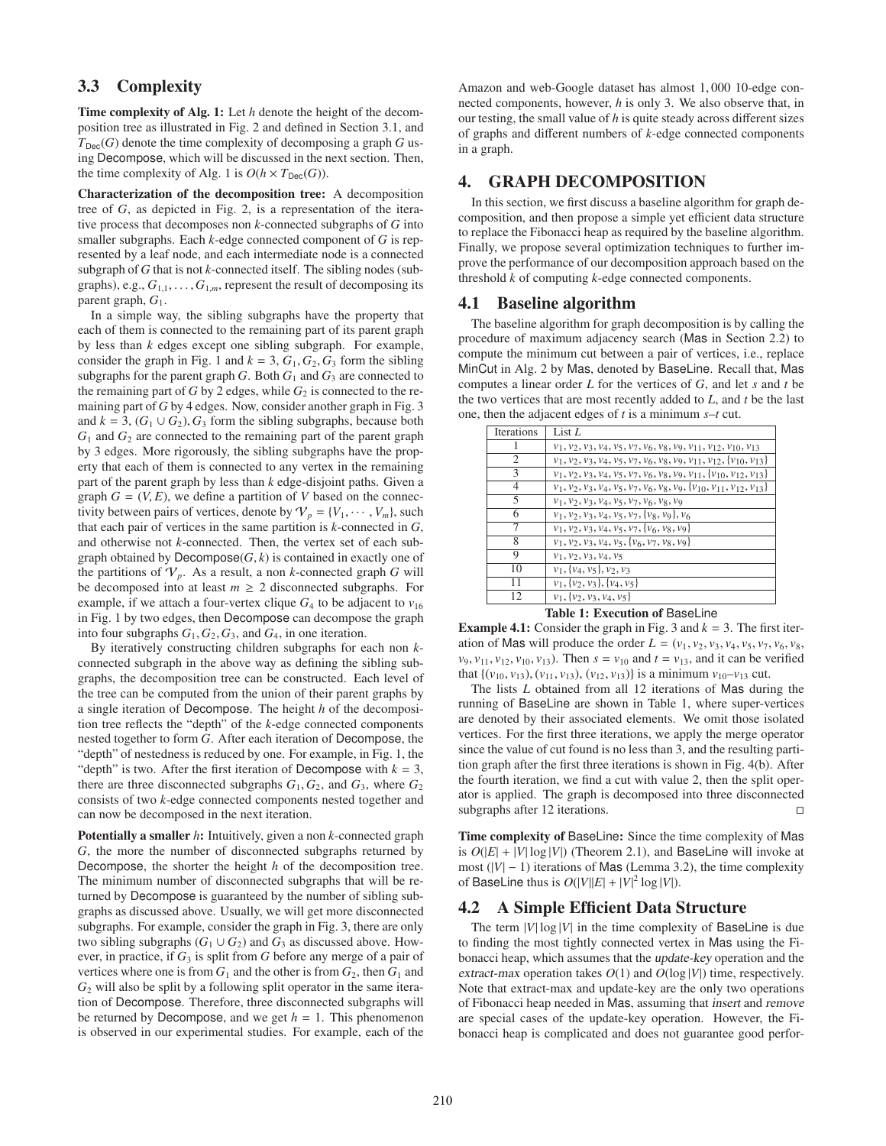# 3.3 Complexity

Time complexity of Alg. 1: Let *h* denote the height of the decomposition tree as illustrated in Fig. 2 and defined in Section 3.1, and  $T_{\text{Dec}}(G)$  denote the time complexity of decomposing a graph *G* using Decompose, which will be discussed in the next section. Then, the time complexity of Alg. 1 is  $O(h \times T_{Dec}(G))$ .

Characterization of the decomposition tree: A decomposition tree of *G*, as depicted in Fig. 2, is a representation of the iterative process that decomposes non *k*-connected subgraphs of *G* into smaller subgraphs. Each *k*-edge connected component of *G* is represented by a leaf node, and each intermediate node is a connected subgraph of *G* that is not *k*-connected itself. The sibling nodes (subgraphs), e.g.,  $G_{1,1}, \ldots, G_{1,m}$ , represent the result of decomposing its parent graph,  $G_1$ .

In a simple way, the sibling subgraphs have the property that each of them is connected to the remaining part of its parent graph by less than *k* edges except one sibling subgraph. For example, consider the graph in Fig. 1 and  $k = 3$ ,  $G_1$ ,  $G_2$ ,  $G_3$  form the sibling subgraphs for the parent graph  $G$ . Both  $G_1$  and  $G_3$  are connected to the remaining part of  $G$  by 2 edges, while  $G_2$  is connected to the remaining part of *G* by 4 edges. Now, consider another graph in Fig. 3 and  $k = 3$ ,  $(G_1 \cup G_2)$ ,  $G_3$  form the sibling subgraphs, because both  $G_1$  and  $G_2$  are connected to the remaining part of the parent graph by 3 edges. More rigorously, the sibling subgraphs have the property that each of them is connected to any vertex in the remaining part of the parent graph by less than *k* edge-disjoint paths. Given a graph  $G = (V, E)$ , we define a partition of V based on the connectivity between pairs of vertices, denote by  $V_p = \{V_1, \dots, V_m\}$ , such that each pair of vertices in the same partition is *k*-connected in *G*, and otherwise not *k*-connected. Then, the vertex set of each subgraph obtained by  $Decompose(G, k)$  is contained in exactly one of the partitions of  $V_p$ . As a result, a non *k*-connected graph *G* will be decomposed into at least  $m \geq 2$  disconnected subgraphs. For example, if we attach a four-vertex clique  $G_4$  to be adjacent to  $v_{16}$ in Fig. 1 by two edges, then Decompose can decompose the graph into four subgraphs  $G_1, G_2, G_3$ , and  $G_4$ , in one iteration.

By iteratively constructing children subgraphs for each non *k*connected subgraph in the above way as defining the sibling subgraphs, the decomposition tree can be constructed. Each level of the tree can be computed from the union of their parent graphs by a single iteration of Decompose. The height *h* of the decomposition tree reflects the "depth" of the *k*-edge connected components nested together to form *G*. After each iteration of Decompose, the "depth" of nestedness is reduced by one. For example, in Fig. 1, the "depth" is two. After the first iteration of Decompose with  $k = 3$ , there are three disconnected subgraphs  $G_1, G_2$ , and  $G_3$ , where  $G_2$ consists of two *k*-edge connected components nested together and can now be decomposed in the next iteration.

Potentially a smaller *h*: Intuitively, given a non *k*-connected graph *G*, the more the number of disconnected subgraphs returned by Decompose, the shorter the height *h* of the decomposition tree. The minimum number of disconnected subgraphs that will be returned by Decompose is guaranteed by the number of sibling subgraphs as discussed above. Usually, we will get more disconnected subgraphs. For example, consider the graph in Fig. 3, there are only two sibling subgraphs ( $G_1 \cup G_2$ ) and  $G_3$  as discussed above. However, in practice, if  $G_3$  is split from  $G$  before any merge of a pair of vertices where one is from  $G_1$  and the other is from  $G_2$ , then  $G_1$  and *G*<sup>2</sup> will also be split by a following split operator in the same iteration of Decompose. Therefore, three disconnected subgraphs will be returned by Decompose, and we get  $h = 1$ . This phenomenon is observed in our experimental studies. For example, each of the

Amazon and web-Google dataset has almost 1, 000 10-edge connected components, however, *h* is only 3. We also observe that, in our testing, the small value of *h* is quite steady across different sizes of graphs and different numbers of *k*-edge connected components in a graph.

# 4. GRAPH DECOMPOSITION

In this section, we first discuss a baseline algorithm for graph decomposition, and then propose a simple yet efficient data structure to replace the Fibonacci heap as required by the baseline algorithm. Finally, we propose several optimization techniques to further improve the performance of our decomposition approach based on the threshold *k* of computing *k*-edge connected components.

## 4.1 Baseline algorithm

The baseline algorithm for graph decomposition is by calling the procedure of maximum adjacency search (Mas in Section 2.2) to compute the minimum cut between a pair of vertices, i.e., replace MinCut in Alg. 2 by Mas, denoted by BaseLine. Recall that, Mas computes a linear order *L* for the vertices of *G*, and let *s* and *t* be the two vertices that are most recently added to *L*, and *t* be the last one, then the adjacent edges of *t* is a minimum *s*–*t* cut.

| Iterations | List L                                                                             |
|------------|------------------------------------------------------------------------------------|
|            | $v_1, v_2, v_3, v_4, v_5, v_7, v_6, v_8, v_9, v_{11}, v_{12}, v_{10}, v_{13}$      |
| 2          | $v_1, v_2, v_3, v_4, v_5, v_7, v_6, v_8, v_9, v_{11}, v_{12}, \{v_{10}, v_{13}\}$  |
| 3          | $v_1, v_2, v_3, v_4, v_5, v_7, v_6, v_8, v_9, v_{11}, \{v_{10}, v_{12}, v_{13}\}$  |
| 4          | $v_1, v_2, v_3, v_4, v_5, v_7, v_6, v_8, v_9, \{v_{10}, v_{11}, v_{12}, v_{13}\}\$ |
| 5          | $v_1, v_2, v_3, v_4, v_5, v_7, v_6, v_8, v_9$                                      |
| 6          | $v_1, v_2, v_3, v_4, v_5, v_7, v_8, v_9\}, v_6$                                    |
| 7          | $v_1, v_2, v_3, v_4, v_5, v_7, \{v_6, v_8, v_9\}$                                  |
| 8          | $v_1, v_2, v_3, v_4, v_5, \{v_6, v_7, v_8, v_9\}$                                  |
| 9          | $v_1, v_2, v_3, v_4, v_5$                                                          |
| 10         | $v_1, \{v_4, v_5\}, v_2, v_3$                                                      |
| 11         | $v_1, \{v_2, v_3\}, \{v_4, v_5\}$                                                  |
| 12         | $v_1, \{v_2, v_3, v_4, v_5\}$                                                      |

Table 1: Execution of BaseLine

**Example 4.1:** Consider the graph in Fig. 3 and  $k = 3$ . The first iteration of Mas will produce the order *L* = (*v*1, *v*2, *v*3, *v*4, *v*5, *v*7, *v*6, *v*8, *v*<sub>9</sub>, *v*<sub>11</sub>, *v*<sub>12</sub>, *v*<sub>10</sub>, *v*<sub>13</sub>). Then *s* = *v*<sub>10</sub> and *t* = *v*<sub>13</sub>, and it can be verified that {( $v_{10}, v_{13}$ ), ( $v_{11}, v_{13}$ ), ( $v_{12}, v_{13}$ )} is a minimum  $v_{10}-v_{13}$  cut.

The lists *L* obtained from all 12 iterations of Mas during the running of BaseLine are shown in Table 1, where super-vertices are denoted by their associated elements. We omit those isolated vertices. For the first three iterations, we apply the merge operator since the value of cut found is no less than 3, and the resulting partition graph after the first three iterations is shown in Fig. 4(b). After the fourth iteration, we find a cut with value 2, then the split operator is applied. The graph is decomposed into three disconnected subgraphs after 12 iterations.

Time complexity of BaseLine: Since the time complexity of Mas is  $O(|E| + |V| \log |V|)$  (Theorem 2.1), and BaseLine will invoke at most  $(|V| - 1)$  iterations of Mas (Lemma 3.2), the time complexity of BaseLine thus is  $O(|V||E| + |V|^2 \log |V|)$ .

### 4.2 A Simple Efficient Data Structure

The term  $|V| \log |V|$  in the time complexity of BaseLine is due to finding the most tightly connected vertex in Mas using the Fibonacci heap, which assumes that the update-key operation and the extract-max operation takes  $O(1)$  and  $O(\log |V|)$  time, respectively. Note that extract-max and update-key are the only two operations of Fibonacci heap needed in Mas, assuming that insert and remove are special cases of the update-key operation. However, the Fibonacci heap is complicated and does not guarantee good perfor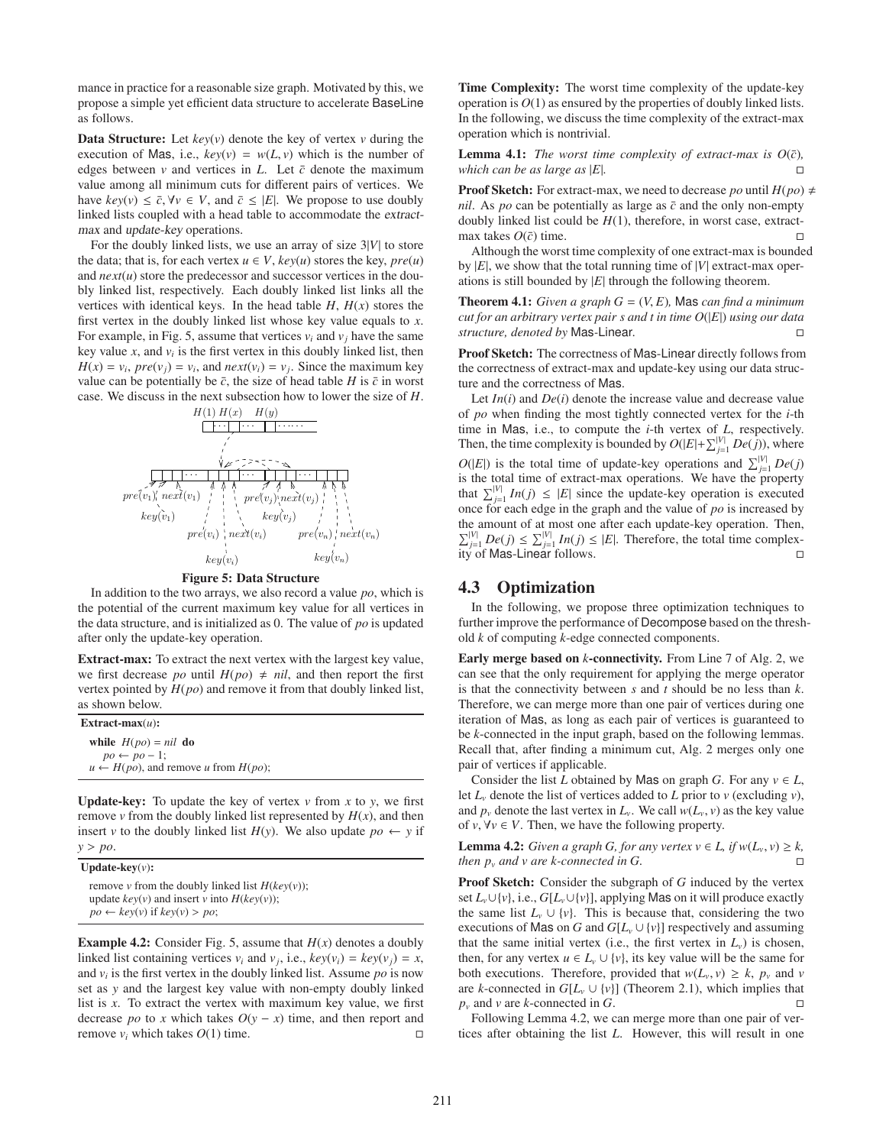mance in practice for a reasonable size graph. Motivated by this, we propose a simple yet efficient data structure to accelerate BaseLine as follows.

**Data Structure:** Let  $key(v)$  denote the key of vertex  $v$  during the execution of Mas, i.e.,  $key(v) = w(L, v)$  which is the number of edges between  $\nu$  and vertices in *L*. Let  $\bar{c}$  denote the maximum value among all minimum cuts for different pairs of vertices. We have  $key(v) \le \overline{c}$ ,  $\forall v \in V$ , and  $\overline{c} \le |E|$ . We propose to use doubly linked lists coupled with a head table to accommodate the extractmax and update-key operations.

For the doubly linked lists, we use an array of size 3|*V*| to store the data; that is, for each vertex  $u \in V$ ,  $key(u)$  stores the key,  $pre(u)$ and *next*(*u*) store the predecessor and successor vertices in the doubly linked list, respectively. Each doubly linked list links all the vertices with identical keys. In the head table  $H$ ,  $H(x)$  stores the first vertex in the doubly linked list whose key value equals to *x*. For example, in Fig. 5, assume that vertices  $v_i$  and  $v_j$  have the same key value  $x$ , and  $v_i$  is the first vertex in this doubly linked list, then  $H(x) = v_i$ ,  $pre(v_j) = v_i$ , and  $next(v_i) = v_j$ . Since the maximum key value can be potentially be  $\bar{c}$ , the size of head table *H* is  $\bar{c}$  in worst case. We discuss in the next subsection how to lower the size of *H*.



#### Figure 5: Data Structure

In addition to the two arrays, we also record a value *po*, which is the potential of the current maximum key value for all vertices in the data structure, and is initialized as 0. The value of *po* is updated after only the update-key operation.

Extract-max: To extract the next vertex with the largest key value, we first decrease *po* until  $H(po) \neq nil$ , and then report the first vertex pointed by *H*(*po*) and remove it from that doubly linked list, as shown below.

| Extract-max $(u)$ :                                |  |  |
|----------------------------------------------------|--|--|
| while $H(po) = nil$ do                             |  |  |
| $po \leftarrow po-1$ ;                             |  |  |
| $u \leftarrow H(po)$ , and remove u from $H(po)$ ; |  |  |

**Update-key:** To update the key of vertex  $v$  from  $x$  to  $y$ , we first remove  $\nu$  from the doubly linked list represented by  $H(x)$ , and then insert *v* to the doubly linked list  $H(y)$ . We also update  $po \leftarrow y$  if *y* > *po*.

Update-key(*v*):

remove *v* from the doubly linked list  $H(key(v))$ ; update  $key(v)$  and insert *v* into  $H(key(v))$ ;  $po \leftarrow \text{key}(v) \text{ if } \text{key}(v) > po;$ 

**Example 4.2:** Consider Fig. 5, assume that  $H(x)$  denotes a doubly linked list containing vertices  $v_i$  and  $v_j$ , i.e.,  $key(v_i) = key(v_j) = x$ , and *v<sup>i</sup>* is the first vertex in the doubly linked list. Assume *po* is now set as *y* and the largest key value with non-empty doubly linked list is *x*. To extract the vertex with maximum key value, we first decrease *po* to *x* which takes  $O(y - x)$  time, and then report and remove  $v_i$  which takes  $O(1)$  time. Time Complexity: The worst time complexity of the update-key operation is  $O(1)$  as ensured by the properties of doubly linked lists. In the following, we discuss the time complexity of the extract-max operation which is nontrivial.

**Lemma 4.1:** *The worst time complexity of extract-max is*  $O(\bar{c})$ *, which can be as large as*  $|E|$ *.*  $\Box$ 

**Proof Sketch:** For extract-max, we need to decrease *po* until  $H(po) \neq$ *nil*. As *po* can be potentially as large as  $\bar{c}$  and the only non-empty doubly linked list could be *H*(1), therefore, in worst case, extractmax takes  $O(\bar{c})$  time.

Although the worst time complexity of one extract-max is bounded by  $|E|$ , we show that the total running time of  $|V|$  extract-max operations is still bounded by |*E*| through the following theorem.

**Theorem 4.1:** *Given a graph G* =  $(V, E)$ *, Mas can find a minimum cut for an arbitrary vertex pair s and t in time O*(|*E*|) *using our data structure, denoted by* Mas*-*Linear*.*

Proof Sketch: The correctness of Mas-Linear directly follows from the correctness of extract-max and update-key using our data structure and the correctness of Mas.

Let  $In(i)$  and  $De(i)$  denote the increase value and decrease value of *po* when finding the most tightly connected vertex for the *i*-th time in Mas, i.e., to compute the *i*-th vertex of *L*, respectively. Then, the time complexity is bounded by  $O(|E| + \sum_{j=1}^{|V|} De(j))$ , where  $O(|E|)$  is the total time of update-key operations and  $\sum_{j=1}^{|V|} De(j)$ is the total time of extract-max operations. We have the property that  $\sum_{j=1}^{|V|} In(j) \leq |E|$  since the update-key operation is executed once for each edge in the graph and the value of *po* is increased by the amount of at most one after each update-key operation. Then,  $\sum_{j=1}^{|V|} De(j) \leq \sum_{j=1}^{|V|} In(j) \leq |E|$ . Therefore, the total time complexity of Mas-Linear follows.

## 4.3 Optimization

In the following, we propose three optimization techniques to further improve the performance of Decompose based on the threshold *k* of computing *k*-edge connected components.

Early merge based on *k*-connectivity. From Line 7 of Alg. 2, we can see that the only requirement for applying the merge operator is that the connectivity between *s* and *t* should be no less than *k*. Therefore, we can merge more than one pair of vertices during one iteration of Mas, as long as each pair of vertices is guaranteed to be *k*-connected in the input graph, based on the following lemmas. Recall that, after finding a minimum cut, Alg. 2 merges only one pair of vertices if applicable.

Consider the list *L* obtained by Mas on graph *G*. For any  $v \in L$ , let  $L<sub>v</sub>$  denote the list of vertices added to  $L$  prior to  $v$  (excluding  $v$ ), and  $p_\nu$  denote the last vertex in  $L_\nu$ . We call  $w(L_\nu, v)$  as the key value of  $v, \forall v \in V$ . Then, we have the following property.

**Lemma 4.2:** *Given a graph G, for any vertex*  $v \in L$ *, if*  $w(L_v, v) \geq k$ *, then*  $p_v$  *and v are k-connected in G.* 

Proof Sketch: Consider the subgraph of *G* induced by the vertex set  $L_v \cup \{v\}$ , i.e.,  $G[L_v \cup \{v\}]$ , applying Mas on it will produce exactly the same list  $L_v \cup \{v\}$ . This is because that, considering the two executions of Mas on *G* and  $G[L_v \cup \{v\}]$  respectively and assuming that the same initial vertex (i.e., the first vertex in  $L<sub>v</sub>$ ) is chosen, then, for any vertex  $u \in L_v \cup \{v\}$ , its key value will be the same for both executions. Therefore, provided that  $w(L_v, v) \geq k$ ,  $p_v$  and *v* are *k*-connected in  $G[L_v \cup \{v\}]$  (Theorem 2.1), which implies that  $p_v$  and  $v$  are  $k$ -connected in  $G$ .

Following Lemma 4.2, we can merge more than one pair of vertices after obtaining the list *L*. However, this will result in one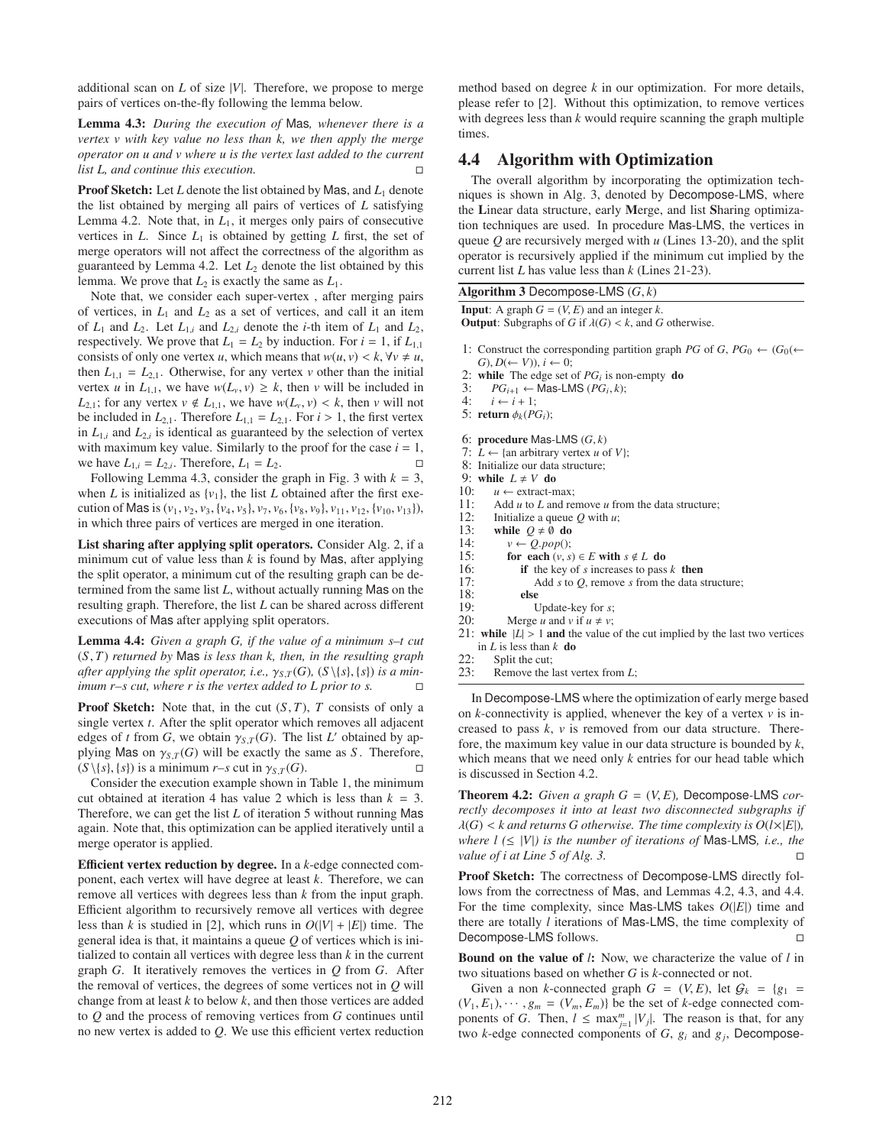additional scan on *L* of size |*V*|. Therefore, we propose to merge pairs of vertices on-the-fly following the lemma below.

Lemma 4.3: *During the execution of* Mas*, whenever there is a vertex v with key value no less than k, we then apply the merge operator on u and v where u is the vertex last added to the current list L, and continue this execution.*

Proof Sketch: Let *L* denote the list obtained by Mas, and  $L_1$  denote the list obtained by merging all pairs of vertices of *L* satisfying Lemma 4.2. Note that, in  $L_1$ , it merges only pairs of consecutive vertices in  $L$ . Since  $L_1$  is obtained by getting  $L$  first, the set of merge operators will not affect the correctness of the algorithm as guaranteed by Lemma 4.2. Let  $L_2$  denote the list obtained by this lemma. We prove that  $L_2$  is exactly the same as  $L_1$ .

Note that, we consider each super-vertex , after merging pairs of vertices, in *L*<sup>1</sup> and *L*<sup>2</sup> as a set of vertices, and call it an item of  $L_1$  and  $L_2$ . Let  $L_{1,i}$  and  $L_{2,i}$  denote the *i*-th item of  $L_1$  and  $L_2$ , respectively. We prove that  $L_1 = L_2$  by induction. For  $i = 1$ , if  $L_{1,1}$ consists of only one vertex *u*, which means that  $w(u, v) < k$ ,  $\forall v \neq u$ , then  $L_{1,1} = L_{2,1}$ . Otherwise, for any vertex *v* other than the initial vertex *u* in  $L_{1,1}$ , we have  $w(L_v, v) \geq k$ , then *v* will be included in  $L_{2,1}$ ; for any vertex  $v \notin L_{1,1}$ , we have  $w(L_v, v) < k$ , then *v* will not be included in  $L_{2,1}$ . Therefore  $L_{1,1} = L_{2,1}$ . For  $i > 1$ , the first vertex in  $L_{1,i}$  and  $L_{2,i}$  is identical as guaranteed by the selection of vertex with maximum key value. Similarly to the proof for the case  $i = 1$ , we have  $L_{1,i} = L_{2,i}$ . Therefore,  $L_1 = L_2$ .

Following Lemma 4.3, consider the graph in Fig. 3 with  $k = 3$ , when *L* is initialized as  $\{v_1\}$ , the list *L* obtained after the first execution of Mas is  $(v_1, v_2, v_3, \{v_4, v_5\}, v_7, v_6, \{v_8, v_9\}, v_{11}, v_{12}, \{v_{10}, v_{13}\}\)$ , in which three pairs of vertices are merged in one iteration.

List sharing after applying split operators. Consider Alg. 2, if a minimum cut of value less than  $k$  is found by Mas, after applying the split operator, a minimum cut of the resulting graph can be determined from the same list *L*, without actually running Mas on the resulting graph. Therefore, the list *L* can be shared across different executions of Mas after applying split operators.

Lemma 4.4: *Given a graph G, if the value of a minimum s–t cut* (*S*, *T*) *returned by* Mas *is less than k, then, in the resulting graph after applying the split operator, i.e.,*  $\gamma_{S,T}(G)$ ,  $(S \setminus \{s\}, \{s\})$  *is a minimum r–s cut, where r is the vertex added to L prior to s.*

**Proof Sketch:** Note that, in the cut  $(S, T)$ , *T* consists of only a single vertex *t*. After the split operator which removes all adjacent edges of *t* from *G*, we obtain  $\gamma_{S,T}(G)$ . The list *L'* obtained by applying Mas on  $\gamma_{S,T}(G)$  will be exactly the same as *S*. Therefore,  $(S \setminus \{s\}, \{s\})$  is a minimum *r*–*s* cut in  $\gamma_s$   $_T(G)$ .

Consider the execution example shown in Table 1, the minimum cut obtained at iteration 4 has value 2 which is less than  $k = 3$ . Therefore, we can get the list *L* of iteration 5 without running Mas again. Note that, this optimization can be applied iteratively until a merge operator is applied.

Efficient vertex reduction by degree. In a *k*-edge connected component, each vertex will have degree at least *k*. Therefore, we can remove all vertices with degrees less than *k* from the input graph. Efficient algorithm to recursively remove all vertices with degree less than *k* is studied in [2], which runs in  $O(|V| + |E|)$  time. The general idea is that, it maintains a queue *Q* of vertices which is initialized to contain all vertices with degree less than *k* in the current graph *G*. It iteratively removes the vertices in *Q* from *G*. After the removal of vertices, the degrees of some vertices not in *Q* will change from at least *k* to below *k*, and then those vertices are added to *Q* and the process of removing vertices from *G* continues until no new vertex is added to *Q*. We use this efficient vertex reduction

method based on degree *k* in our optimization. For more details, please refer to [2]. Without this optimization, to remove vertices with degrees less than *k* would require scanning the graph multiple times.

## 4.4 Algorithm with Optimization

The overall algorithm by incorporating the optimization techniques is shown in Alg. 3, denoted by Decompose-LMS, where the Linear data structure, early Merge, and list Sharing optimization techniques are used. In procedure Mas-LMS, the vertices in queue *Q* are recursively merged with *u* (Lines 13-20), and the split operator is recursively applied if the minimum cut implied by the current list *L* has value less than *k* (Lines 21-23).

```
Algorithm 3 Decompose-LMS (G, k)
```
**Input:** A graph  $G = (V, E)$  and an integer  $k$ .

```
Output: Subgraphs of G if \lambda(G) < k, and G otherwise.
```
- 1: Construct the corresponding partition graph *PG* of *G*,  $PG_0 \leftarrow (G_0(\leftarrow$  $G$ ,  $D$ ( $\leftarrow$   $V$ )),  $i \leftarrow 0$ ;
- 2: while The edge set of  $PG<sub>i</sub>$  is non-empty do
- 3:  $PG_{i+1}$  ← Mas-LMS ( $PG_i, k$ );
- 4:  $i \leftarrow i + 1$ ;
- 5: return  $\phi_k(PG_i)$ ;

6: procedure Mas-LMS (*G*, *k*)

- 7:  $\tilde{L} \leftarrow \{\text{an arbitrary vertex } u \text{ of } V\};$
- 8: Initialize our data structure;

9: while  $L \neq V$  do

- 10:  $u \leftarrow$  extract-max:
- 11: Add *u* to *L* and remove *u* from the data structure;<br>12: Initialize a queue *O* with *u*:
- Initialize a queue  $Q$  with  $u$ ;
- 13: while  $Q \neq \emptyset$  do<br>14:  $v \leftarrow Q.pop();$
- 14:  $v \leftarrow Q.pop();$ <br>15: **for each**  $(v, s)$
- for each  $(v, s) \in E$  with  $s \notin L$  do
- 16: **if** the key of *s* increases to pass *k* then 17: Add *s* to *Q* remove *s* from the data *s*
- 17: Add *s* to *Q*, remove *s* from the data structure;<br>18: **else**
- 18: else
- Update-key for *s*;
- 20: Merge *u* and *v* if  $u \neq v$ ;
- 21: while  $|L| > 1$  and the value of the cut implied by the last two vertices in *L* is less than *k* do
- 22: Split the cut;<br>23: Remove the 1
- Remove the last vertex from *L*:

In Decompose-LMS where the optimization of early merge based on  $k$ -connectivity is applied, whenever the key of a vertex  $v$  is increased to pass *k*, *v* is removed from our data structure. Therefore, the maximum key value in our data structure is bounded by *k*, which means that we need only *k* entries for our head table which is discussed in Section 4.2.

**Theorem 4.2:** *Given a graph G* =  $(V, E)$ , Decompose-LMS *correctly decomposes it into at least two disconnected subgraphs if*  $\lambda(G)$  < *k* and returns G otherwise. The time complexity is  $O(l \times |E|)$ , *where*  $l \leq |V|$  *is the number of iterations of Mas-LMS, i.e., the value of i at Line 5 of Alg. 3.*

Proof Sketch: The correctness of Decompose-LMS directly follows from the correctness of Mas, and Lemmas 4.2, 4.3, and 4.4. For the time complexity, since Mas-LMS takes *O*(|*E*|) time and there are totally *l* iterations of Mas-LMS, the time complexity of Decompose-LMS follows.

Bound on the value of *l*: Now, we characterize the value of *l* in two situations based on whether *G* is *k*-connected or not.

Given a non *k*-connected graph  $G = (V, E)$ , let  $G_k = \{g_1 =$  $(V_1, E_1), \cdots, g_m = (V_m, E_m)$  be the set of *k*-edge connected components of *G*. Then,  $l \leq \max_{j=1}^m |V_j|$ . The reason is that, for any two *k*-edge connected components of *G*, *g<sup>i</sup>* and *g<sup>j</sup>* , Decompose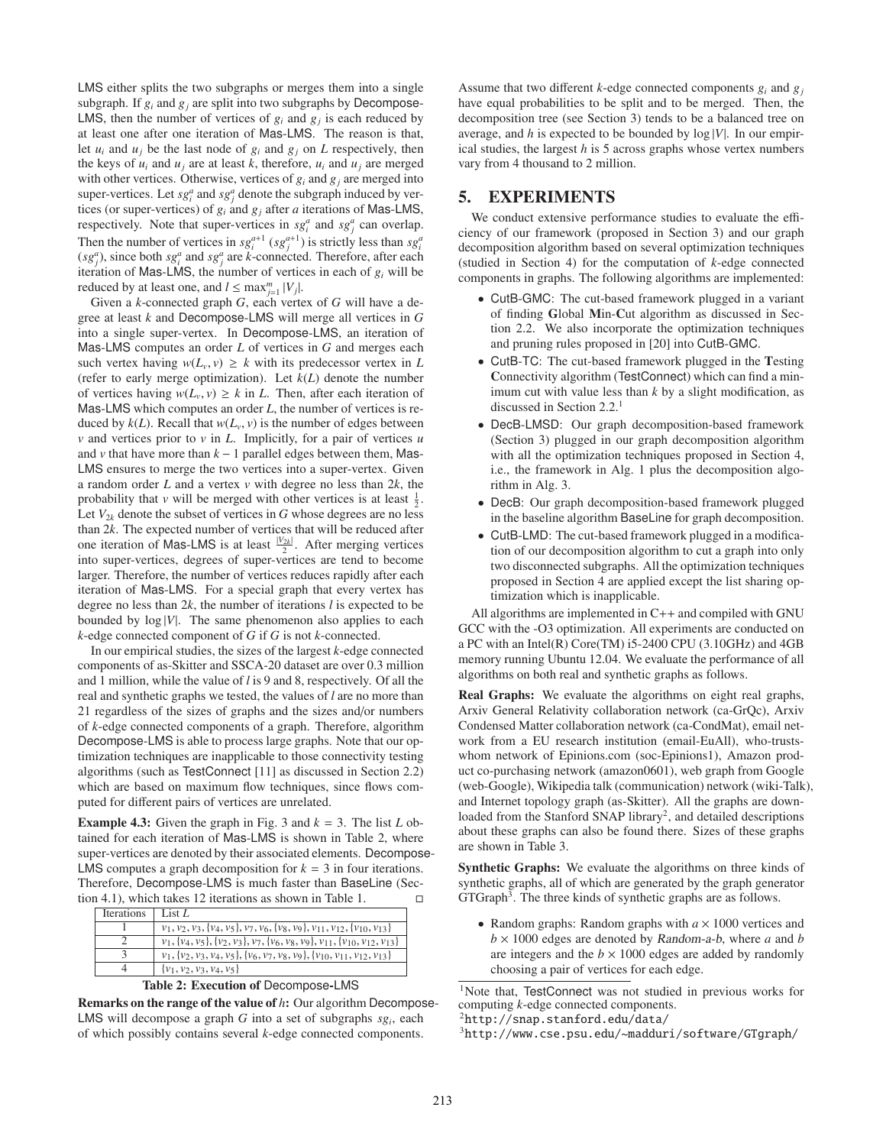LMS either splits the two subgraphs or merges them into a single subgraph. If  $g_i$  and  $g_j$  are split into two subgraphs by Decompose-LMS, then the number of vertices of  $g_i$  and  $g_j$  is each reduced by at least one after one iteration of Mas-LMS. The reason is that, let  $u_i$  and  $u_j$  be the last node of  $g_i$  and  $g_j$  on  $L$  respectively, then the keys of  $u_i$  and  $u_j$  are at least  $k$ , therefore,  $u_i$  and  $u_j$  are merged with other vertices. Otherwise, vertices of  $g_i$  and  $g_j$  are merged into super-vertices. Let  $sg_i^a$  and  $sg_j^a$  denote the subgraph induced by vertices (or super-vertices) of *g<sup>i</sup>* and *g<sup>j</sup>* after *a* iterations of Mas-LMS, respectively. Note that super-vertices in  $sg_i^a$  and  $sg_j^a$  can overlap. Then the number of vertices in  $sg_i^{a+1}$  ( $sg_i^{a+1}$ ) is strictly less than  $sg_i^a$  $(sg_j^a)$ , since both  $sg_j^a$  and  $sg_j^a$  are *k*-connected. Therefore, after each iteration of Mas-LMS, the number of vertices in each of  $g_i$  will be reduced by at least one, and  $l \leq \max_{j=1}^{m} |V_j|$ .

Given a *k*-connected graph *G*, each vertex of *G* will have a degree at least *k* and Decompose-LMS will merge all vertices in *G* into a single super-vertex. In Decompose-LMS, an iteration of Mas-LMS computes an order *L* of vertices in *G* and merges each such vertex having  $w(L_v, v) \geq k$  with its predecessor vertex in *L* (refer to early merge optimization). Let  $k(L)$  denote the number of vertices having  $w(L_v, v) \geq k$  in *L*. Then, after each iteration of Mas-LMS which computes an order *L*, the number of vertices is reduced by  $k(L)$ . Recall that  $w(L_v, v)$  is the number of edges between *v* and vertices prior to *v* in *L*. Implicitly, for a pair of vertices *u* and *v* that have more than  $k - 1$  parallel edges between them, Mas-LMS ensures to merge the two vertices into a super-vertex. Given a random order *L* and a vertex *v* with degree no less than 2*k*, the probability that *v* will be merged with other vertices is at least  $\frac{1}{2}$ . Let  $V_{2k}$  denote the subset of vertices in *G* whose degrees are no less than 2*k*. The expected number of vertices that will be reduced after one iteration of Mas-LMS is at least  $\frac{|V_{2k}|}{2}$ . After merging vertices into super-vertices, degrees of super-vertices are tend to become larger. Therefore, the number of vertices reduces rapidly after each iteration of Mas-LMS. For a special graph that every vertex has degree no less than 2*k*, the number of iterations *l* is expected to be bounded by  $log |V|$ . The same phenomenon also applies to each *k*-edge connected component of *G* if *G* is not *k*-connected.

In our empirical studies, the sizes of the largest *k*-edge connected components of as-Skitter and SSCA-20 dataset are over 0.3 million and 1 million, while the value of *l* is 9 and 8, respectively. Of all the real and synthetic graphs we tested, the values of *l* are no more than 21 regardless of the sizes of graphs and the sizes and/or numbers of *k*-edge connected components of a graph. Therefore, algorithm Decompose-LMS is able to process large graphs. Note that our optimization techniques are inapplicable to those connectivity testing algorithms (such as TestConnect [11] as discussed in Section 2.2) which are based on maximum flow techniques, since flows computed for different pairs of vertices are unrelated.

**Example 4.3:** Given the graph in Fig. 3 and  $k = 3$ . The list *L* obtained for each iteration of Mas-LMS is shown in Table 2, where super-vertices are denoted by their associated elements. Decompose-LMS computes a graph decomposition for  $k = 3$  in four iterations. Therefore, Decompose-LMS is much faster than BaseLine (Section 4.1), which takes 12 iterations as shown in Table 1.  $\Box$ 

| <b>Iterations</b> | List L                                                                                                                         |
|-------------------|--------------------------------------------------------------------------------------------------------------------------------|
|                   | $v_1, v_2, v_3, \{v_4, v_5\}, v_7, v_6, \{v_8, v_9\}, v_{11}, v_{12}, \{v_{10}, v_{13}\}\$                                     |
|                   | $v_1$ , { $v_4$ , $v_5$ }, { $v_2$ , $v_3$ }, $v_7$ , { $v_6$ , $v_8$ , $v_9$ }, $v_{11}$ , { $v_{10}$ , $v_{12}$ , $v_{13}$ } |
|                   | $v_1$ , { $v_2$ , $v_3$ , $v_4$ , $v_5$ }, { $v_6$ , $v_7$ , $v_8$ , $v_9$ }, { $v_{10}$ , $v_{11}$ , $v_{12}$ , $v_{13}$ }    |
|                   | $\{v_1, v_2, v_3, v_4, v_5\}$                                                                                                  |
|                   |                                                                                                                                |



Remarks on the range of the value of *h*: Our algorithm Decompose-LMS will decompose a graph *G* into a set of subgraphs *sg<sup>i</sup>* , each of which possibly contains several *k*-edge connected components.

Assume that two different *k*-edge connected components  $g_i$  and  $g_j$ have equal probabilities to be split and to be merged. Then, the decomposition tree (see Section 3) tends to be a balanced tree on average, and *h* is expected to be bounded by log |*V*|. In our empirical studies, the largest *h* is 5 across graphs whose vertex numbers vary from 4 thousand to 2 million.

# 5. EXPERIMENTS

We conduct extensive performance studies to evaluate the efficiency of our framework (proposed in Section 3) and our graph decomposition algorithm based on several optimization techniques (studied in Section 4) for the computation of *k*-edge connected components in graphs. The following algorithms are implemented:

- CutB-GMC: The cut-based framework plugged in a variant of finding Global Min-Cut algorithm as discussed in Section 2.2. We also incorporate the optimization techniques and pruning rules proposed in [20] into CutB-GMC.
- CutB-TC: The cut-based framework plugged in the Testing Connectivity algorithm (TestConnect) which can find a minimum cut with value less than *k* by a slight modification, as discussed in Section 2.2.<sup>1</sup>
- DecB-LMSD: Our graph decomposition-based framework (Section 3) plugged in our graph decomposition algorithm with all the optimization techniques proposed in Section 4, i.e., the framework in Alg. 1 plus the decomposition algorithm in Alg. 3.
- DecB: Our graph decomposition-based framework plugged in the baseline algorithm BaseLine for graph decomposition.
- CutB-LMD: The cut-based framework plugged in a modification of our decomposition algorithm to cut a graph into only two disconnected subgraphs. All the optimization techniques proposed in Section 4 are applied except the list sharing optimization which is inapplicable.

All algorithms are implemented in C++ and compiled with GNU GCC with the -O3 optimization. All experiments are conducted on a PC with an Intel(R) Core(TM) i5-2400 CPU (3.10GHz) and 4GB memory running Ubuntu 12.04. We evaluate the performance of all algorithms on both real and synthetic graphs as follows.

Real Graphs: We evaluate the algorithms on eight real graphs, Arxiv General Relativity collaboration network (ca-GrQc), Arxiv Condensed Matter collaboration network (ca-CondMat), email network from a EU research institution (email-EuAll), who-trustswhom network of Epinions.com (soc-Epinions1), Amazon product co-purchasing network (amazon0601), web graph from Google (web-Google), Wikipedia talk (communication) network (wiki-Talk), and Internet topology graph (as-Skitter). All the graphs are downloaded from the Stanford SNAP library<sup>2</sup>, and detailed descriptions about these graphs can also be found there. Sizes of these graphs are shown in Table 3.

Synthetic Graphs: We evaluate the algorithms on three kinds of synthetic graphs, all of which are generated by the graph generator GTGraph<sup>3</sup>. The three kinds of synthetic graphs are as follows.

• Random graphs: Random graphs with  $a \times 1000$  vertices and  $b \times 1000$  edges are denoted by Random-a-b, where *a* and *b* are integers and the  $b \times 1000$  edges are added by randomly choosing a pair of vertices for each edge.

<sup>1</sup>Note that, TestConnect was not studied in previous works for computing *k*-edge connected components.

<sup>2</sup>http://snap.stanford.edu/data/

 $3$ http://www.cse.psu.edu/~madduri/software/GTgraph/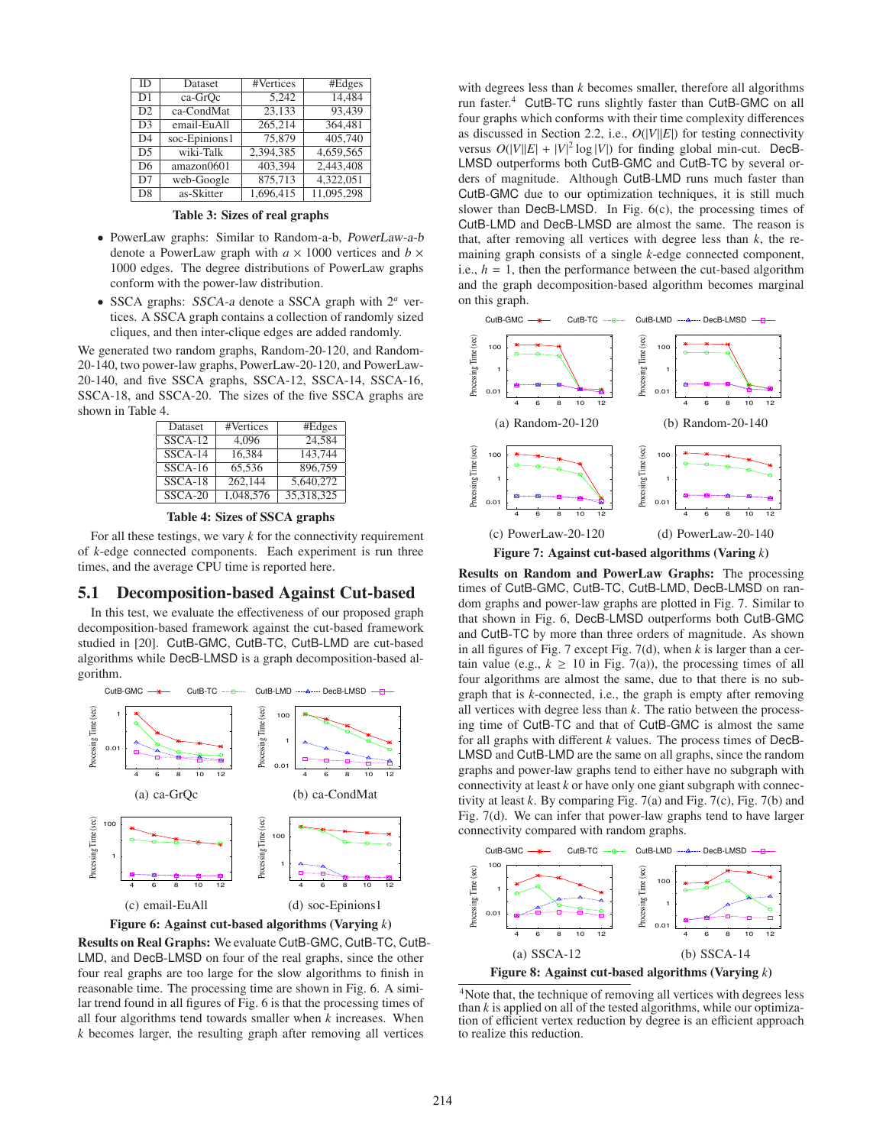| ID             | Dataset       | #Vertices | #Edges     |
|----------------|---------------|-----------|------------|
| D <sub>1</sub> | ca-GrOc       | 5.242     | 14.484     |
| D2             | ca-CondMat    | 23,133    | 93.439     |
| D <sub>3</sub> | email-EuAll   | 265,214   | 364,481    |
| D <sub>4</sub> | soc-Epinions1 | 75,879    | 405,740    |
| D <sub>5</sub> | wiki-Talk     | 2.394.385 | 4,659,565  |
| D <sub>6</sub> | amazon0601    | 403,394   | 2,443,408  |
| D7             | web-Google    | 875,713   | 4,322,051  |
| D <sub>8</sub> | as-Skitter    | 1.696.415 | 11.095.298 |

Table 3: Sizes of real graphs

- PowerLaw graphs: Similar to Random-a-b, PowerLaw-a-b denote a PowerLaw graph with  $a \times 1000$  vertices and  $b \times$ 1000 edges. The degree distributions of PowerLaw graphs conform with the power-law distribution.
- SSCA graphs: SSCA-a denote a SSCA graph with 2*<sup>a</sup>* vertices. A SSCA graph contains a collection of randomly sized cliques, and then inter-clique edges are added randomly.

We generated two random graphs, Random-20-120, and Random-20-140, two power-law graphs, PowerLaw-20-120, and PowerLaw-20-140, and five SSCA graphs, SSCA-12, SSCA-14, SSCA-16, SSCA-18, and SSCA-20. The sizes of the five SSCA graphs are shown in Table 4.

| Dataset   | #Vertices | #Edges     |
|-----------|-----------|------------|
| $SSCA-12$ | 4.096     | 24.584     |
| $SSCA-14$ | 16,384    | 143,744    |
| SSCA-16   | 65.536    | 896,759    |
| SSCA-18   | 262,144   | 5,640,272  |
| $SSCA-20$ | 1,048,576 | 35.318.325 |

Table 4: Sizes of SSCA graphs

For all these testings, we vary  $k$  for the connectivity requirement of *k*-edge connected components. Each experiment is run three times, and the average CPU time is reported here.

#### 5.1 Decomposition-based Against Cut-based

In this test, we evaluate the effectiveness of our proposed graph decomposition-based framework against the cut-based framework studied in [20]. CutB-GMC, CutB-TC, CutB-LMD are cut-based algorithms while DecB-LMSD is a graph decomposition-based algorithm.





Results on Real Graphs: We evaluate CutB-GMC, CutB-TC, CutB-LMD, and DecB-LMSD on four of the real graphs, since the other four real graphs are too large for the slow algorithms to finish in reasonable time. The processing time are shown in Fig. 6. A similar trend found in all figures of Fig. 6 is that the processing times of all four algorithms tend towards smaller when *k* increases. When *k* becomes larger, the resulting graph after removing all vertices

with degrees less than *k* becomes smaller, therefore all algorithms run faster.<sup>4</sup> CutB-TC runs slightly faster than CutB-GMC on all four graphs which conforms with their time complexity differences as discussed in Section 2.2, i.e.,  $O(|V||E|)$  for testing connectivity versus  $O(|V||E| + |V|^2 \log |V|)$  for finding global min-cut. DecB-LMSD outperforms both CutB-GMC and CutB-TC by several orders of magnitude. Although CutB-LMD runs much faster than CutB-GMC due to our optimization techniques, it is still much slower than DecB-LMSD. In Fig. 6(c), the processing times of CutB-LMD and DecB-LMSD are almost the same. The reason is that, after removing all vertices with degree less than *k*, the remaining graph consists of a single *k*-edge connected component, i.e.,  $h = 1$ , then the performance between the cut-based algorithm and the graph decomposition-based algorithm becomes marginal on this graph.



Results on Random and PowerLaw Graphs: The processing times of CutB-GMC, CutB-TC, CutB-LMD, DecB-LMSD on random graphs and power-law graphs are plotted in Fig. 7. Similar to that shown in Fig. 6, DecB-LMSD outperforms both CutB-GMC and CutB-TC by more than three orders of magnitude. As shown in all figures of Fig. 7 except Fig. 7(d), when *k* is larger than a certain value (e.g.,  $k \ge 10$  in Fig. 7(a)), the processing times of all four algorithms are almost the same, due to that there is no subgraph that is *k*-connected, i.e., the graph is empty after removing all vertices with degree less than *k*. The ratio between the processing time of CutB-TC and that of CutB-GMC is almost the same for all graphs with different *k* values. The process times of DecB-LMSD and CutB-LMD are the same on all graphs, since the random graphs and power-law graphs tend to either have no subgraph with connectivity at least *k* or have only one giant subgraph with connectivity at least *k*. By comparing Fig. 7(a) and Fig. 7(c), Fig. 7(b) and Fig. 7(d). We can infer that power-law graphs tend to have larger connectivity compared with random graphs.



<sup>&</sup>lt;sup>4</sup>Note that, the technique of removing all vertices with degrees less than *k* is applied on all of the tested algorithms, while our optimization of efficient vertex reduction by degree is an efficient approach to realize this reduction.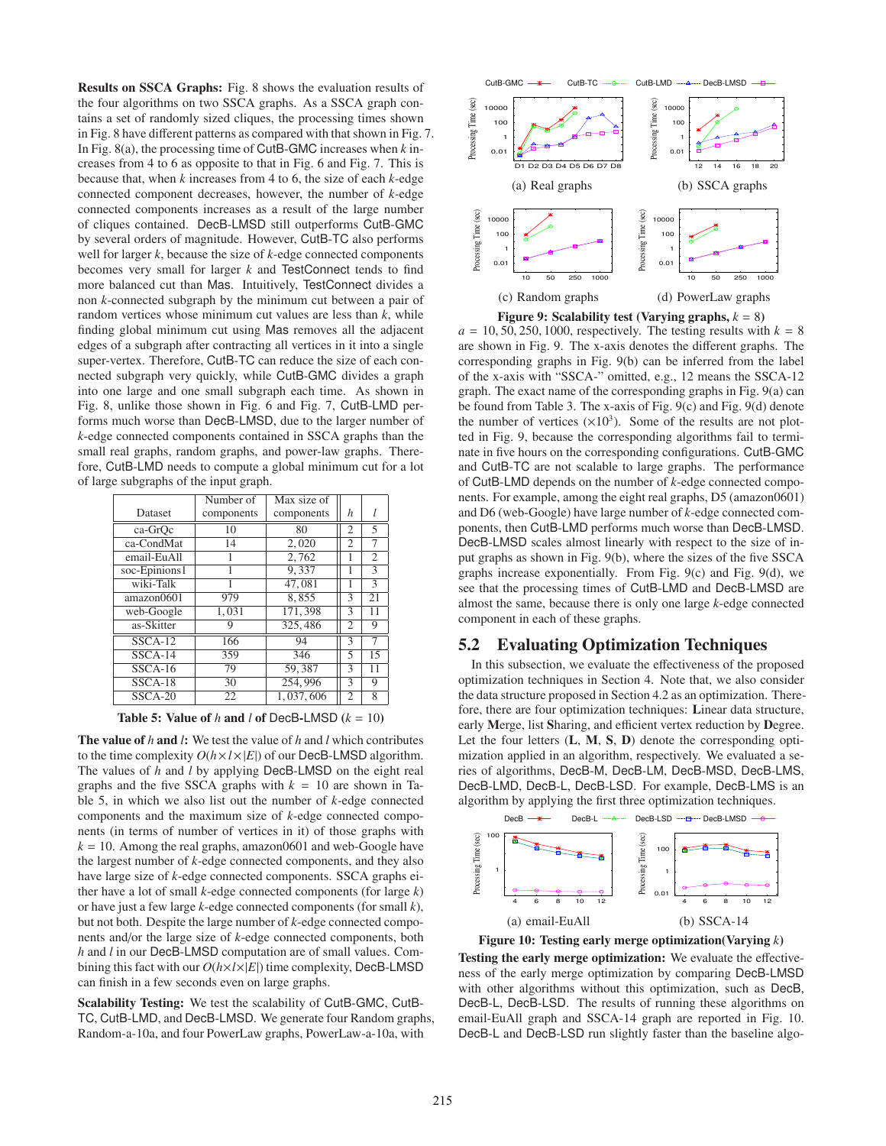Results on SSCA Graphs: Fig. 8 shows the evaluation results of the four algorithms on two SSCA graphs. As a SSCA graph contains a set of randomly sized cliques, the processing times shown in Fig. 8 have different patterns as compared with that shown in Fig. 7. In Fig. 8(a), the processing time of CutB-GMC increases when *k* increases from 4 to 6 as opposite to that in Fig. 6 and Fig. 7. This is because that, when *k* increases from 4 to 6, the size of each *k*-edge connected component decreases, however, the number of *k*-edge connected components increases as a result of the large number of cliques contained. DecB-LMSD still outperforms CutB-GMC by several orders of magnitude. However, CutB-TC also performs well for larger *k*, because the size of *k*-edge connected components becomes very small for larger *k* and TestConnect tends to find more balanced cut than Mas. Intuitively, TestConnect divides a non *k*-connected subgraph by the minimum cut between a pair of random vertices whose minimum cut values are less than *k*, while finding global minimum cut using Mas removes all the adjacent edges of a subgraph after contracting all vertices in it into a single super-vertex. Therefore, CutB-TC can reduce the size of each connected subgraph very quickly, while CutB-GMC divides a graph into one large and one small subgraph each time. As shown in Fig. 8, unlike those shown in Fig. 6 and Fig. 7, CutB-LMD performs much worse than DecB-LMSD, due to the larger number of *k*-edge connected components contained in SSCA graphs than the small real graphs, random graphs, and power-law graphs. Therefore, CutB-LMD needs to compute a global minimum cut for a lot of large subgraphs of the input graph.

|                | Number of  | Max size of |                |                          |
|----------------|------------|-------------|----------------|--------------------------|
| <b>Dataset</b> | components | components  | h              |                          |
| ca-GrOc        | 10         | 80          | 2              | 5                        |
| ca-CondMat     | 14         | 2,020       | 2              | 7                        |
| email-EuAll    |            | 2.762       |                | $\overline{2}$           |
| soc-Epinions1  | 1          | 9.337       | 1              | 3                        |
| wiki-Talk      |            | 47,081      |                | $\overline{\mathcal{E}}$ |
| amazon0601     | 979        | 8.855       | 3              | 21                       |
| web-Google     | 1,031      | 171,398     | 3              | 11                       |
| as-Skitter     | 9          | 325,486     | 2              | 9                        |
| $SSCA-12$      | 166        | 94          | 3              | 7                        |
| $SSCA-14$      | 359        | 346         | 5              | 15                       |
| $SSCA-16$      | 79         | 59.387      | 3              | 11                       |
| $SSCA-18$      | 30         | 254,996     | 3              | 9                        |
| $SSCA-20$      | 22         | 1.037.606   | $\overline{c}$ | 8                        |

Table 5: Value of  $h$  and  $l$  of DecB-LMSD  $(k = 10)$ 

The value of *h* and *l*: We test the value of *h* and *l* which contributes to the time complexity  $O(h \times l \times |E|)$  of our DecB-LMSD algorithm. The values of *h* and *l* by applying DecB-LMSD on the eight real graphs and the five SSCA graphs with  $k = 10$  are shown in Table 5, in which we also list out the number of *k*-edge connected components and the maximum size of *k*-edge connected components (in terms of number of vertices in it) of those graphs with  $k = 10$ . Among the real graphs, amazon0601 and web-Google have the largest number of *k*-edge connected components, and they also have large size of *k*-edge connected components. SSCA graphs either have a lot of small *k*-edge connected components (for large *k*) or have just a few large *k*-edge connected components (for small *k*), but not both. Despite the large number of *k*-edge connected components and/or the large size of *k*-edge connected components, both *h* and *l* in our DecB-LMSD computation are of small values. Combining this fact with our *O*(*h*×*l*×|*E*|) time complexity, DecB-LMSD can finish in a few seconds even on large graphs.

Scalability Testing: We test the scalability of CutB-GMC, CutB-TC, CutB-LMD, and DecB-LMSD. We generate four Random graphs, Random-a-10a, and four PowerLaw graphs, PowerLaw-a-10a, with



 $a = 10, 50, 250, 1000$ , respectively. The testing results with  $k = 8$ are shown in Fig. 9. The x-axis denotes the different graphs. The corresponding graphs in Fig. 9(b) can be inferred from the label of the x-axis with "SSCA-" omitted, e.g., 12 means the SSCA-12 graph. The exact name of the corresponding graphs in Fig. 9(a) can be found from Table 3. The x-axis of Fig. 9(c) and Fig. 9(d) denote the number of vertices  $(\times 10^3)$ . Some of the results are not plotted in Fig. 9, because the corresponding algorithms fail to terminate in five hours on the corresponding configurations. CutB-GMC and CutB-TC are not scalable to large graphs. The performance of CutB-LMD depends on the number of *k*-edge connected components. For example, among the eight real graphs, D5 (amazon0601) and D6 (web-Google) have large number of *k*-edge connected components, then CutB-LMD performs much worse than DecB-LMSD. DecB-LMSD scales almost linearly with respect to the size of input graphs as shown in Fig. 9(b), where the sizes of the five SSCA graphs increase exponentially. From Fig. 9(c) and Fig. 9(d), we see that the processing times of CutB-LMD and DecB-LMSD are almost the same, because there is only one large *k*-edge connected component in each of these graphs.

#### 5.2 Evaluating Optimization Techniques

In this subsection, we evaluate the effectiveness of the proposed optimization techniques in Section 4. Note that, we also consider the data structure proposed in Section 4.2 as an optimization. Therefore, there are four optimization techniques: Linear data structure, early Merge, list Sharing, and efficient vertex reduction by Degree. Let the four letters (L, M, S, D) denote the corresponding optimization applied in an algorithm, respectively. We evaluated a series of algorithms, DecB-M, DecB-LM, DecB-MSD, DecB-LMS, DecB-LMD, DecB-L, DecB-LSD. For example, DecB-LMS is an algorithm by applying the first three optimization techniques.



Figure 10: Testing early merge optimization(Varying *k*)

Testing the early merge optimization: We evaluate the effectiveness of the early merge optimization by comparing DecB-LMSD with other algorithms without this optimization, such as DecB, DecB-L, DecB-LSD. The results of running these algorithms on email-EuAll graph and SSCA-14 graph are reported in Fig. 10. DecB-L and DecB-LSD run slightly faster than the baseline algo